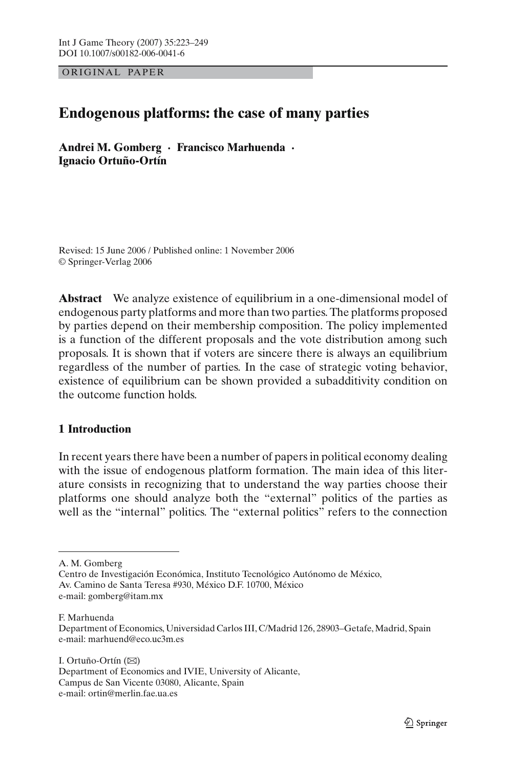OR IG INAL PAPER

# **Endogenous platforms: the case of many parties**

**Andrei M. Gomberg · Francisco Marhuenda · Ignacio Ortuño-Ortín**

Revised: 15 June 2006 / Published online: 1 November 2006 © Springer-Verlag 2006

**Abstract** We analyze existence of equilibrium in a one-dimensional model of endogenous party platforms and more than two parties. The platforms proposed by parties depend on their membership composition. The policy implemented is a function of the different proposals and the vote distribution among such proposals. It is shown that if voters are sincere there is always an equilibrium regardless of the number of parties. In the case of strategic voting behavior, existence of equilibrium can be shown provided a subadditivity condition on the outcome function holds.

## **1 Introduction**

In recent years there have been a number of papers in political economy dealing with the issue of endogenous platform formation. The main idea of this literature consists in recognizing that to understand the way parties choose their platforms one should analyze both the "external" politics of the parties as well as the "internal" politics. The "external politics" refers to the connection

F. Marhuenda

I. Ortuño-Ortín  $(\boxtimes)$ Department of Economics and IVIE, University of Alicante, Campus de San Vicente 03080, Alicante, Spain e-mail: ortin@merlin.fae.ua.es

A. M. Gomberg

Centro de Investigación Económica, Instituto Tecnológico Autónomo de México, Av. Camino de Santa Teresa #930, México D.F. 10700, México e-mail: gomberg@itam.mx

Department of Economics, Universidad Carlos III, C/Madrid 126, 28903–Getafe, Madrid, Spain e-mail: marhuend@eco.uc3m.es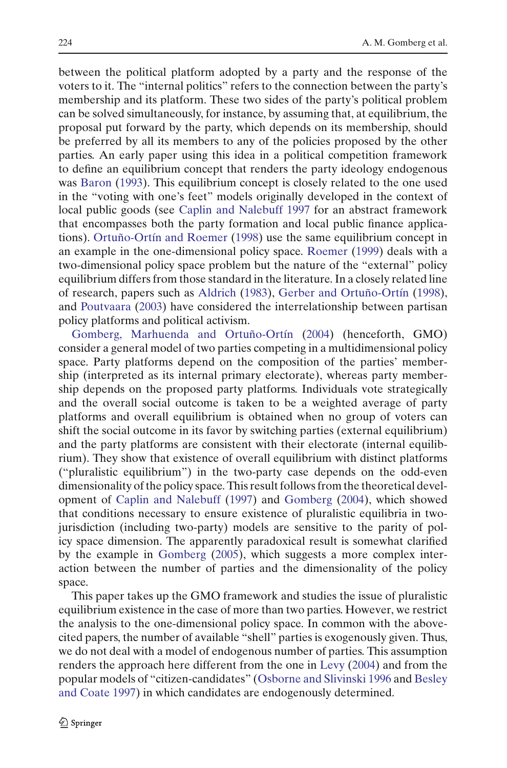between the political platform adopted by a party and the response of the voters to it. The "internal politics" refers to the connection between the party's membership and its platform. These two sides of the party's political problem can be solved simultaneously, for instance, by assuming that, at equilibrium, the proposal put forward by the party, which depends on its membership, should be preferred by all its members to any of the policies proposed by the other parties. An early paper using this idea in a political competition framework to define an equilibrium concept that renders the party ideology endogenous was [Baron](#page-25-0) [\(1993\)](#page-25-0). This equilibrium concept is closely related to the one used in the "voting with one's feet" models originally developed in the context of local public goods (see [Caplin and Nalebuff 1997](#page-26-0) for an abstract framework that encompasses both the party formation and local public finance applications). [Ortuño-Ortín and Roemer](#page-26-1) [\(1998](#page-26-1)) use the same equilibrium concept in an example in the one-dimensional policy space. [Roemer](#page-26-2) [\(1999\)](#page-26-2) deals with a two-dimensional policy space problem but the nature of the "external" policy equilibrium differs from those standard in the literature. In a closely related line of research, papers such as [Aldrich](#page-25-1) [\(1983\)](#page-25-1), [Gerber and Ortuño-Ortín](#page-26-3) [\(1998\)](#page-26-3), and [Poutvaara](#page-26-4) [\(2003\)](#page-26-4) have considered the interrelationship between partisan [policy](#page-26-5) [platforms](#page-26-5) [and](#page-26-5) [political](#page-26-5) [activism.](#page-26-5)

Gomberg, Marhuenda and Ortuño-Ortín [\(2004\)](#page-26-5) (henceforth, GMO) consider a general model of two parties competing in a multidimensional policy space. Party platforms depend on the composition of the parties' membership (interpreted as its internal primary electorate), whereas party membership depends on the proposed party platforms. Individuals vote strategically and the overall social outcome is taken to be a weighted average of party platforms and overall equilibrium is obtained when no group of voters can shift the social outcome in its favor by switching parties (external equilibrium) and the party platforms are consistent with their electorate (internal equilibrium). They show that existence of overall equilibrium with distinct platforms ("pluralistic equilibrium") in the two-party case depends on the odd-even dimensionality of the policy space. This result follows from the theoretical development of [Caplin and Nalebuff](#page-26-0) [\(1997\)](#page-26-0) and [Gomberg](#page-26-6) [\(2004\)](#page-26-6), which showed that conditions necessary to ensure existence of pluralistic equilibria in twojurisdiction (including two-party) models are sensitive to the parity of policy space dimension. The apparently paradoxical result is somewhat clarified by the example in [Gomberg](#page-26-7) [\(2005\)](#page-26-7), which suggests a more complex interaction between the number of parties and the dimensionality of the policy space.

This paper takes up the GMO framework and studies the issue of pluralistic equilibrium existence in the case of more than two parties. However, we restrict the analysis to the one-dimensional policy space. In common with the abovecited papers, the number of available "shell" parties is exogenously given. Thus, we do not deal with a model of endogenous number of parties. This assumption renders the approach here different from the one in [Levy](#page-26-8) [\(2004](#page-26-8)) and from the popular m[odels](#page-26-10) [of](#page-26-10) ["citizen-candidates"](#page-26-10) [\(Osborne and Slivinski 1996](#page-26-9) and Besley and Coate [1997\)](#page-26-10) in which candidates are endogenously determined.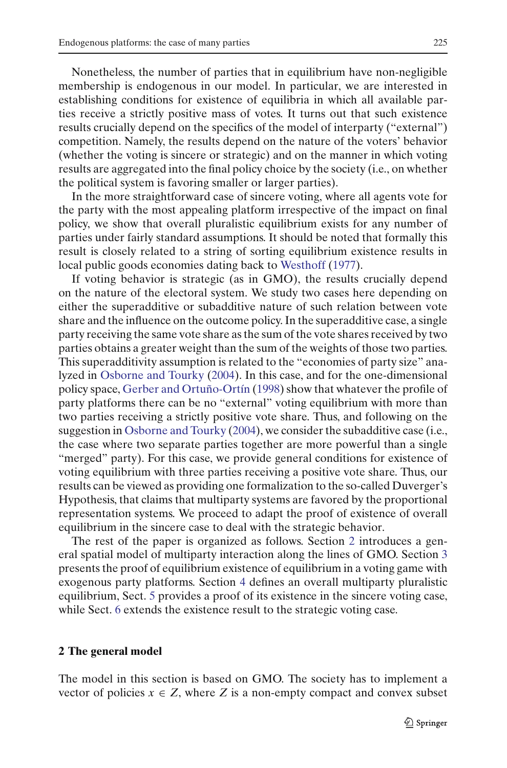Nonetheless, the number of parties that in equilibrium have non-negligible membership is endogenous in our model. In particular, we are interested in establishing conditions for existence of equilibria in which all available parties receive a strictly positive mass of votes. It turns out that such existence results crucially depend on the specifics of the model of interparty ("external") competition. Namely, the results depend on the nature of the voters' behavior (whether the voting is sincere or strategic) and on the manner in which voting results are aggregated into the final policy choice by the society (i.e., on whether the political system is favoring smaller or larger parties).

In the more straightforward case of sincere voting, where all agents vote for the party with the most appealing platform irrespective of the impact on final policy, we show that overall pluralistic equilibrium exists for any number of parties under fairly standard assumptions. It should be noted that formally this result is closely related to a string of sorting equilibrium existence results in local public goods economies dating back to [Westhoff](#page-26-11) [\(1977\)](#page-26-11).

If voting behavior is strategic (as in GMO), the results crucially depend on the nature of the electoral system. We study two cases here depending on either the superadditive or subadditive nature of such relation between vote share and the influence on the outcome policy. In the superadditive case, a single party receiving the same vote share as the sum of the vote shares received by two parties obtains a greater weight than the sum of the weights of those two parties. This superadditivity assumption is related to the "economies of party size" analyzed in [Osborne and Tourky](#page-26-12) [\(2004](#page-26-12)). In this case, and for the one-dimensional policy space, [Gerber and Ortuño-Ortín](#page-26-3) [\(1998\)](#page-26-3) show that whatever the profile of party platforms there can be no "external" voting equilibrium with more than two parties receiving a strictly positive vote share. Thus, and following on the suggestion in [Osborne and Tourky](#page-26-12) [\(2004\)](#page-26-12), we consider the subadditive case (i.e., the case where two separate parties together are more powerful than a single "merged" party). For this case, we provide general conditions for existence of voting equilibrium with three parties receiving a positive vote share. Thus, our results can be viewed as providing one formalization to the so-called Duverger's Hypothesis, that claims that multiparty systems are favored by the proportional representation systems. We proceed to adapt the proof of existence of overall equilibrium in the sincere case to deal with the strategic behavior.

The rest of the paper is organized as follows. Section [2](#page-2-0) introduces a general spatial model of multiparty interaction along the lines of GMO. Section [3](#page-5-0) presents the proof of equilibrium existence of equilibrium in a voting game with exogenous party platforms. Section [4](#page-14-0) defines an overall multiparty pluralistic equilibrium, Sect. [5](#page-15-0) provides a proof of its existence in the sincere voting case, while Sect. [6](#page-19-0) extends the existence result to the strategic voting case.

#### <span id="page-2-0"></span>**2 The general model**

The model in this section is based on GMO. The society has to implement a vector of policies  $x \in Z$ , where Z is a non-empty compact and convex subset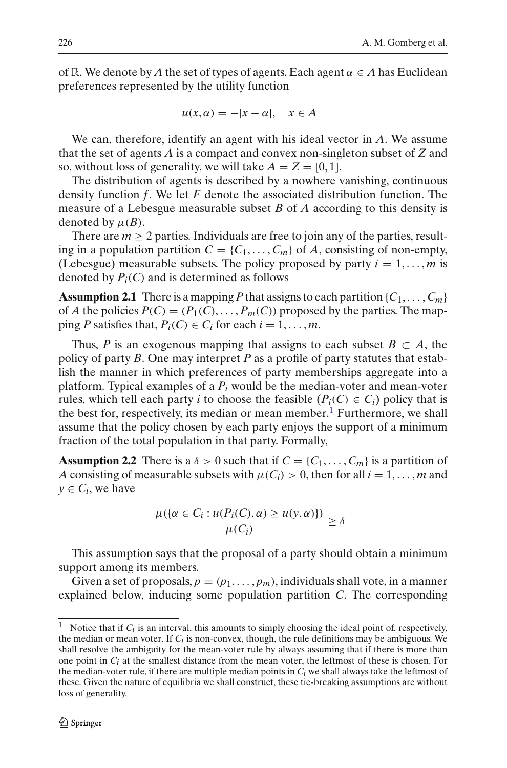of R. We denote by *A* the set of types of agents. Each agent  $\alpha \in A$  has Euclidean preferences represented by the utility function

$$
u(x, \alpha) = -|x - \alpha|, \quad x \in A
$$

We can, therefore, identify an agent with his ideal vector in *A*. We assume that the set of agents *A* is a compact and convex non-singleton subset of *Z* and so, without loss of generality, we will take  $A = Z = [0, 1]$ .

The distribution of agents is described by a nowhere vanishing, continuous density function *f*. We let *F* denote the associated distribution function. The measure of a Lebesgue measurable subset *B* of *A* according to this density is denoted by  $\mu(B)$ .

There are  $m \geq 2$  parties. Individuals are free to join any of the parties, resulting in a population partition  $C = \{C_1, \ldots, C_m\}$  of *A*, consisting of non-empty, (Lebesgue) measurable subsets. The policy proposed by party  $i = 1, \ldots, m$  is denoted by  $P_i(C)$  and is determined as follows

<span id="page-3-1"></span>**Assumption 2.1** There is a mapping P that assigns to each partition  $\{C_1, \ldots, C_m\}$ of *A* the policies  $P(C) = (P_1(C), \ldots, P_m(C))$  proposed by the parties. The mapping *P* satisfies that,  $P_i(C) \in C_i$  for each  $i = 1, \ldots, m$ .

Thus, *P* is an exogenous mapping that assigns to each subset  $B \subset A$ , the policy of party *B*. One may interpret *P* as a profile of party statutes that establish the manner in which preferences of party memberships aggregate into a platform. Typical examples of a  $P_i$  would be the median-voter and mean-voter rules, which tell each party *i* to choose the feasible  $(P_i(C) \in C_i)$  policy that is the best for, respectively, its median or mean member.<sup>[1](#page-3-0)</sup> Furthermore, we shall assume that the policy chosen by each party enjoys the support of a minimum fraction of the total population in that party. Formally,

<span id="page-3-2"></span>**Assumption 2.2** There is a  $\delta > 0$  such that if  $C = \{C_1, \ldots, C_m\}$  is a partition of *A* consisting of measurable subsets with  $\mu(C_i) > 0$ , then for all  $i = 1, \ldots, m$  and  $y \in C_i$ , we have

$$
\frac{\mu(\{\alpha \in C_i : u(P_i(C), \alpha) \ge u(y, \alpha)\})}{\mu(C_i)} \ge \delta
$$

This assumption says that the proposal of a party should obtain a minimum support among its members.

Given a set of proposals,  $p = (p_1, \ldots, p_m)$ , individuals shall vote, in a manner explained below, inducing some population partition *C*. The corresponding

<span id="page-3-0"></span><sup>&</sup>lt;sup>1</sup> Notice that if  $C_i$  is an interval, this amounts to simply choosing the ideal point of, respectively, the median or mean voter. If *Ci* is non-convex, though, the rule definitions may be ambiguous. We shall resolve the ambiguity for the mean-voter rule by always assuming that if there is more than one point in *Ci* at the smallest distance from the mean voter, the leftmost of these is chosen. For the median-voter rule, if there are multiple median points in  $C<sub>i</sub>$  we shall always take the leftmost of these. Given the nature of equilibria we shall construct, these tie-breaking assumptions are without loss of generality.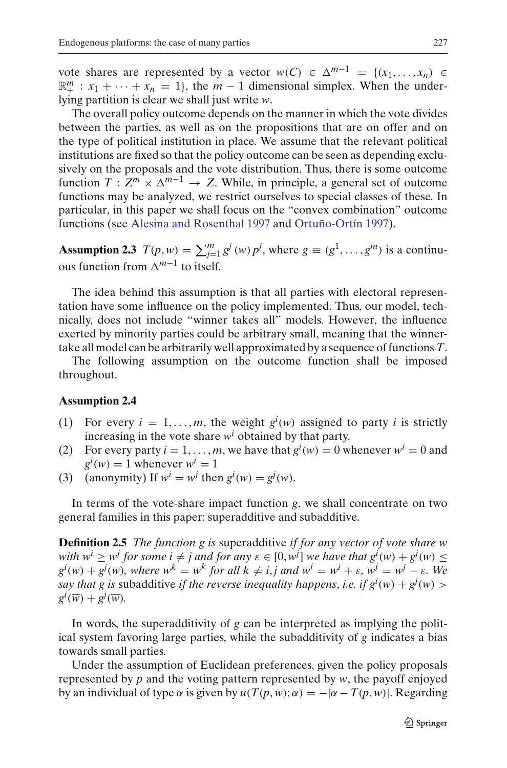vote shares are represented by a vector  $w(C) \in \Delta^{m-1} = \{(x_1, \ldots, x_n) \in$  $\mathbb{R}^m_+ : x_1 + \cdots + x_n = 1$ , the  $m-1$  dimensional simplex. When the underlying partition is clear we shall just write *w*.

The overall policy outcome depends on the manner in which the vote divides between the parties, as well as on the propositions that are on offer and on the type of political institution in place. We assume that the relevant political institutions are fixed so that the policy outcome can be seen as depending exclusively on the proposals and the vote distribution. Thus, there is some outcome function  $T: Z^m \times \Delta^{m-1} \to Z$ . While, in principle, a general set of outcome functions may be analyzed, we restrict ourselves to special classes of these. In particular, in this paper we shall focus on the "convex combination" outcome functions (see [Alesina and Rosenthal 1997](#page-25-2) and [Ortuño-Ortín 1997\)](#page-26-13).

**Assumption 2.3**  $T(p, w) = \sum_{j=1}^{m} g^{j}(w) p^{j}$ , where  $g \equiv (g^{1}, \ldots, g^{m})$  is a continuous function from  $\Delta^{m-1}$  to itself.

The idea behind this assumption is that all parties with electoral representation have some influence on the policy implemented. Thus, our model, technically, does not include "winner takes all" models. However, the influence exerted by minority parties could be arbitrary small, meaning that the winnertake all model can be arbitrarily well approximated by a sequence of functions*T*.

The following assumption on the outcome function shall be imposed throughout.

#### **Assumption 2.4**

- (1) For every  $i = 1, \ldots, m$ , the weight  $g^{i}(w)$  assigned to party *i* is strictly increasing in the vote share  $w<sup>i</sup>$  obtained by that party.
- (2) For every party  $i = 1, ..., m$ , we have that  $g^{i}(w) = 0$  whenever  $w^{i} = 0$  and  $g^i(w) = 1$  whenever  $w^i = 1$
- (3) (anonymity) If  $w^i = w^j$  then  $g^i(w) = g^j(w)$ .

In terms of the vote-share impact function *g*, we shall concentrate on two general families in this paper: superadditive and subadditive.

**Definition 2.5** *The function g is* superadditive *if for any vector of vote share w with*  $w^i \geq w^j$  *for some i*  $\neq j$  *and for any*  $\varepsilon \in [0, w^j]$  *we have that*  $g^i(w) + g^j(w) \leq$  $g^i(\overline{w}) + g^j(\overline{w})$ *, where*  $w^k = \overline{w}^k$  *for all*  $k \neq i, j$  *and*  $\overline{w}^i = w^i + \varepsilon$ *,*  $\overline{w}^j = w^j - \varepsilon$ *.* We *say that g is subadditive if the reverse inequality happens, i.e. if*  $g^i(w) + g^j(w)$  $g^i(\overline{w}) + g^j(\overline{w})$ .

In words, the superadditivity of *g* can be interpreted as implying the political system favoring large parties, while the subadditivity of *g* indicates a bias towards small parties.

Under the assumption of Euclidean preferences, given the policy proposals represented by *p* and the voting pattern represented by *w*, the payoff enjoyed by an individual of type α is given by  $u(T(p, w); \alpha) = -|\alpha - T(p, w)|$ . Regarding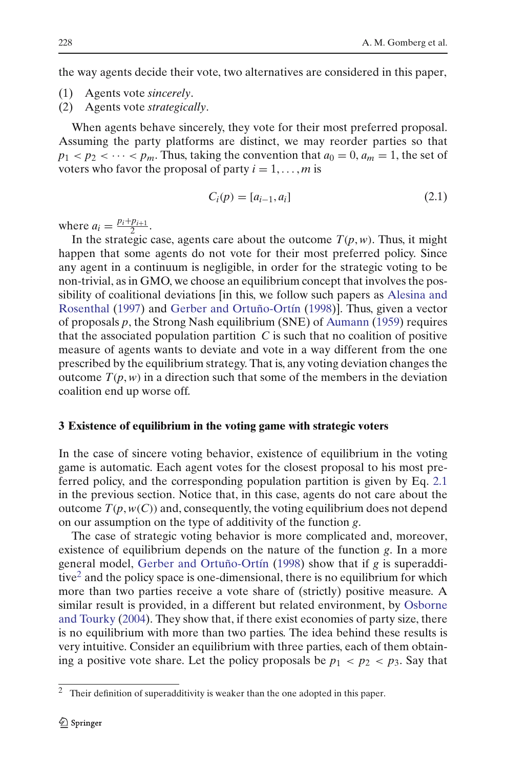the way agents decide their vote, two alternatives are considered in this paper,

- (1) Agents vote *sincerely*.
- (2) Agents vote *strategically*.

When agents behave sincerely, they vote for their most preferred proposal. Assuming the party platforms are distinct, we may reorder parties so that  $p_1 < p_2 < \cdots < p_m$ . Thus, taking the convention that  $a_0 = 0$ ,  $a_m = 1$ , the set of voters who favor the proposal of party  $i = 1, \ldots, m$  is

$$
C_i(p) = [a_{i-1}, a_i]
$$
 (2.1)

<span id="page-5-1"></span>where  $a_i = \frac{p_i + p_{i+1}}{2}$ .

In the strategic case, agents care about the outcome  $T(p, w)$ . Thus, it might happen that some agents do not vote for their most preferred policy. Since any agent in a continuum is negligible, in order for the strategic voting to be non-trivial, as in GMO, we choose an equilibrium concept that involves the possibility of [coalitional](#page-25-2) [deviations](#page-25-2) [\[in](#page-25-2) [this,](#page-25-2) [we](#page-25-2) [follow](#page-25-2) [such](#page-25-2) [papers](#page-25-2) [as](#page-25-2) Alesina and Rosenthal [\(1997\)](#page-25-2) and [Gerber and Ortuño-Ortín](#page-26-3) [\(1998\)](#page-26-3)]. Thus, given a vector of proposals *p*, the Strong Nash equilibrium (SNE) of [Aumann](#page-25-3) [\(1959](#page-25-3)) requires that the associated population partition  $C$  is such that no coalition of positive measure of agents wants to deviate and vote in a way different from the one prescribed by the equilibrium strategy. That is, any voting deviation changes the outcome  $T(p, w)$  in a direction such that some of the members in the deviation coalition end up worse off.

#### <span id="page-5-0"></span>**3 Existence of equilibrium in the voting game with strategic voters**

In the case of sincere voting behavior, existence of equilibrium in the voting game is automatic. Each agent votes for the closest proposal to his most preferred policy, and the corresponding population partition is given by Eq. [2.1](#page-5-1) in the previous section. Notice that, in this case, agents do not care about the outcome  $T(p, w(C))$  and, consequently, the voting equilibrium does not depend on our assumption on the type of additivity of the function *g*.

The case of strategic voting behavior is more complicated and, moreover, existence of equilibrium depends on the nature of the function *g*. In a more general model, [Gerber and Ortuño-Ortín](#page-26-3) [\(1998](#page-26-3)) show that if *g* is superadditive<sup>2</sup> and the policy space is one-dimensional, there is no equilibrium for which more than two parties receive a vote share of (strictly) positive measure. A similar res[ult](#page-26-12) [is](#page-26-12) [provided,](#page-26-12) [in](#page-26-12) [a](#page-26-12) [different](#page-26-12) [but](#page-26-12) [related](#page-26-12) [environment,](#page-26-12) [by](#page-26-12) Osborne and Tourky [\(2004](#page-26-12)). They show that, if there exist economies of party size, there is no equilibrium with more than two parties. The idea behind these results is very intuitive. Consider an equilibrium with three parties, each of them obtaining a positive vote share. Let the policy proposals be  $p_1 < p_2 < p_3$ . Say that

<span id="page-5-2"></span><sup>2</sup> Their definition of superadditivity is weaker than the one adopted in this paper.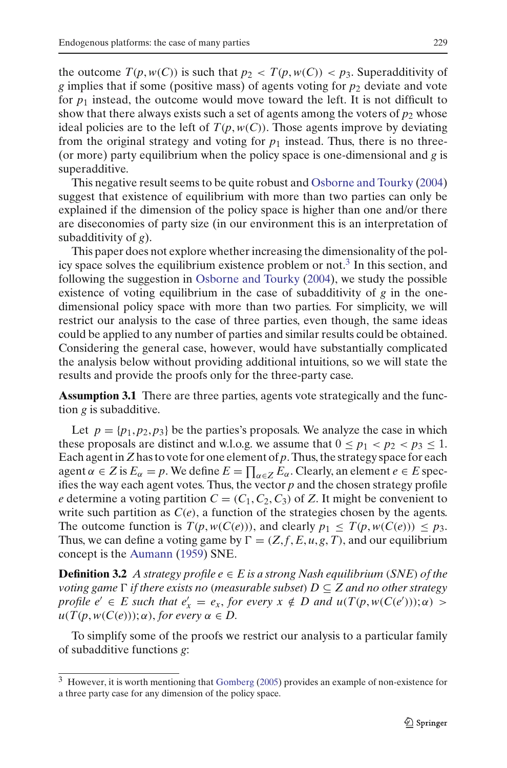the outcome  $T(p, w(C))$  is such that  $p_2 < T(p, w(C)) < p_3$ . Superadditivity of *g* implies that if some (positive mass) of agents voting for *p*<sup>2</sup> deviate and vote for  $p_1$  instead, the outcome would move toward the left. It is not difficult to show that there always exists such a set of agents among the voters of  $p_2$  whose ideal policies are to the left of  $T(p, w(C))$ . Those agents improve by deviating from the original strategy and voting for  $p_1$  instead. Thus, there is no three-(or more) party equilibrium when the policy space is one-dimensional and *g* is superadditive.

This negative result seems to be quite robust and [Osborne and Tourky](#page-26-12) [\(2004](#page-26-12)) suggest that existence of equilibrium with more than two parties can only be explained if the dimension of the policy space is higher than one and/or there are diseconomies of party size (in our environment this is an interpretation of subadditivity of *g*).

This paper does not explore whether increasing the dimensionality of the policy space solves the equilibrium existence problem or not.[3](#page-6-0) In this section, and following the suggestion in [Osborne and Tourky](#page-26-12) [\(2004\)](#page-26-12), we study the possible existence of voting equilibrium in the case of subadditivity of *g* in the onedimensional policy space with more than two parties. For simplicity, we will restrict our analysis to the case of three parties, even though, the same ideas could be applied to any number of parties and similar results could be obtained. Considering the general case, however, would have substantially complicated the analysis below without providing additional intuitions, so we will state the results and provide the proofs only for the three-party case.

<span id="page-6-1"></span>**Assumption 3.1** There are three parties, agents vote strategically and the function *g* is subadditive.

Let  $p = \{p_1, p_2, p_3\}$  be the parties's proposals. We analyze the case in which these proposals are distinct and w.l.o.g. we assume that  $0 \le p_1 < p_2 < p_3 \le 1$ . Each agent in *Z* has to vote for one element of *p*. Thus, the strategy space for each agent  $\alpha \in Z$  is  $E_{\alpha} = p$ . We define  $E = \prod_{\alpha \in Z} E_{\alpha}$ . Clearly, an element  $e \in E$  specifies the way each agent votes. Thus, the vector *p* and the chosen strategy profile *e* determine a voting partition  $C = (C_1, C_2, C_3)$  of *Z*. It might be convenient to write such partition as  $C(e)$ , a function of the strategies chosen by the agents. The outcome function is  $T(p, w(C(e)))$ , and clearly  $p_1 \leq T(p, w(C(e))) \leq p_3$ . Thus, we can define a voting game by  $\Gamma = (Z, f, E, u, g, T)$ , and our equilibrium concept is the [Aumann](#page-25-3) [\(1959](#page-25-3)) SNE.

<span id="page-6-3"></span>**Definition 3.2** *A strategy profile*  $e \in E$  *is a strong Nash equilibrium (SNE) of the voting game*  $\Gamma$  *if there exists no (measurable subset)*  $D \subseteq Z$  *and no other strategy profile*  $e' \in E$  *such that*  $e'_x = e_x$ *, for every*  $x \notin D$  *and*  $u(T(p, w(C(e'))); \alpha) >$  $u(T(p, w(C(e))); \alpha)$ , *for every*  $\alpha \in D$ .

<span id="page-6-2"></span>To simplify some of the proofs we restrict our analysis to a particular family of subadditive functions *g*:

<span id="page-6-0"></span><sup>&</sup>lt;sup>3</sup> However, it is worth mentioning that [Gomberg](#page-26-7) [\(2005](#page-26-7)) provides an example of non-existence for a three party case for any dimension of the policy space.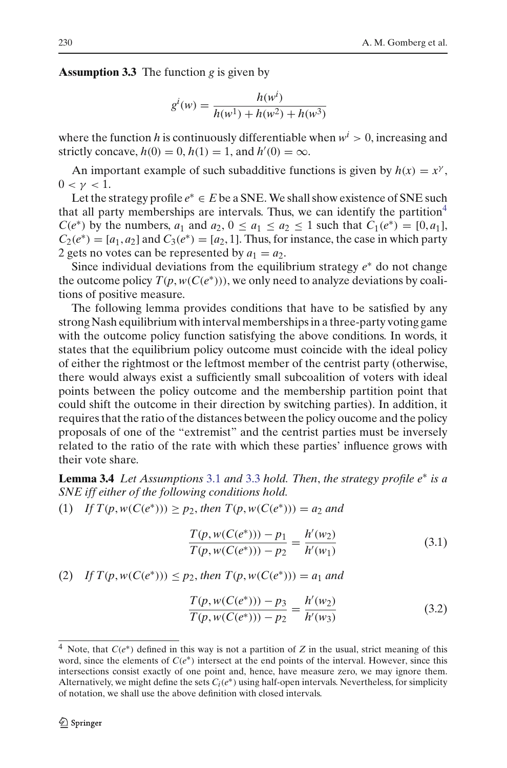**Assumption 3.3** The function *g* is given by

$$
g^{i}(w) = \frac{h(w^{i})}{h(w^{1}) + h(w^{2}) + h(w^{3})}
$$

where the function h is continuously differentiable when  $w<sup>i</sup> > 0$ , increasing and strictly concave,  $h(0) = 0$ ,  $h(1) = 1$ , and  $h'(0) = \infty$ .

An important example of such subadditive functions is given by  $h(x) = x^{\gamma}$ ,  $0 < \gamma < 1$ .

Let the strategy profile  $e^* \in E$  be a SNE. We shall show existence of SNE such that all party memberships are intervals. Thus, we can identify the partition<sup>[4](#page-7-0)</sup> *C*(*e*<sup>\*</sup>) by the numbers, *a*<sub>1</sub> and *a*<sub>2</sub>,  $0 \le a_1 \le a_2 \le 1$  such that  $C_1(e^*) = [0, a_1]$ ,  $C_2(e^*) = [a_1, a_2]$  and  $C_3(e^*) = [a_2, 1]$ . Thus, for instance, the case in which party 2 gets no votes can be represented by  $a_1 = a_2$ .

Since individual deviations from the equilibrium strategy *e*<sup>∗</sup> do not change the outcome policy  $T(p, w(C(e^*)))$ , we only need to analyze deviations by coalitions of positive measure.

The following lemma provides conditions that have to be satisfied by any strong Nash equilibrium with interval memberships in a three-party voting game with the outcome policy function satisfying the above conditions. In words, it states that the equilibrium policy outcome must coincide with the ideal policy of either the rightmost or the leftmost member of the centrist party (otherwise, there would always exist a sufficiently small subcoalition of voters with ideal points between the policy outcome and the membership partition point that could shift the outcome in their direction by switching parties). In addition, it requires that the ratio of the distances between the policy oucome and the policy proposals of one of the "extremist" and the centrist parties must be inversely related to the ratio of the rate with which these parties' influence grows with their vote share.

<span id="page-7-1"></span>**Lemma 3.4** *Let Assumptions* [3.1](#page-6-1) *and* [3.3](#page-6-2) *hold. Then*, *the strategy profile e*<sup>∗</sup> *is a SNE iff either of the following conditions hold.*

(1) *If*  $T(p, w(C(e^*))) \ge p_2$ , *then*  $T(p, w(C(e^*))) = a_2$  *and* 

$$
\frac{T(p, w(C(e^*))) - p_1}{T(p, w(C(e^*))) - p_2} = \frac{h'(w_2)}{h'(w_1)}\tag{3.1}
$$

<span id="page-7-3"></span><span id="page-7-2"></span>(2) If 
$$
T(p, w(C(e^*))) \leq p_2
$$
, then  $T(p, w(C(e^*))) = a_1$  and

$$
\frac{T(p, w(C(e^*))) - p_3}{T(p, w(C(e^*))) - p_2} = \frac{h'(w_2)}{h'(w_3)}\tag{3.2}
$$

<span id="page-7-0"></span><sup>4</sup> Note, that *C*(*e*∗) defined in this way is not a partition of *Z* in the usual, strict meaning of this word, since the elements of  $C(e^*)$  intersect at the end points of the interval. However, since this intersections consist exactly of one point and, hence, have measure zero, we may ignore them. Alternatively, we might define the sets  $C_i(e^*)$  using half-open intervals. Nevertheless, for simplicity of notation, we shall use the above definition with closed intervals.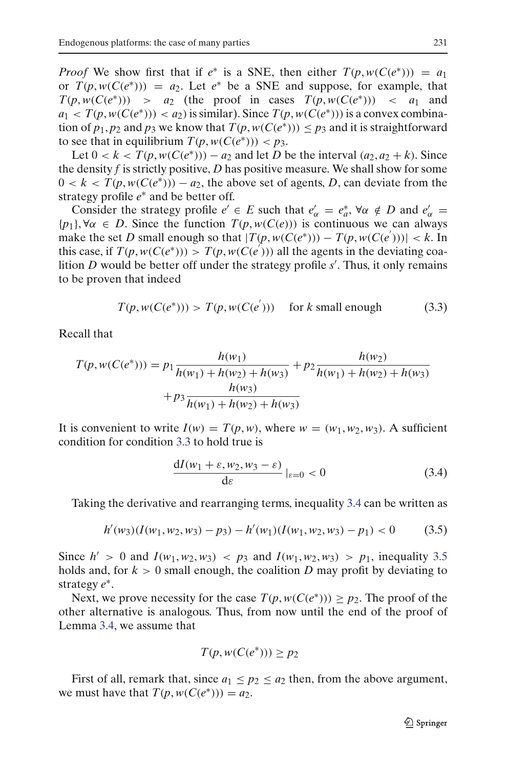*Proof* We show first that if  $e^*$  is a SNE, then either  $T(p, w(C(e^*))) = a_1$ or  $T(p, w(C(e^*))) = a_2$ . Let  $e^*$  be a SNE and suppose, for example, that  $T(p, w(C(e^*)))$  > *a*<sub>2</sub> (the proof in cases  $T(p, w(C(e^*)))$  < *a*<sub>1</sub> and  $a_1 < T(p, w(C(e^*))) < a_2$ ) is similar). Since  $T(p, w(C(e^*)))$  is a convex combination of  $p_1, p_2$  and  $p_3$  we know that  $T(p, w(C(e^*))) \leq p_3$  and it is straightforward to see that in equilibrium  $T(p, w(C(e^*))) < p_3$ .

Let  $0 < k < T(p, w(C(e^*))) - a_2$  and let *D* be the interval  $(a_2, a_2 + k)$ . Since the density *f* is strictly positive, *D* has positive measure. We shall show for some  $0 < k < T(p, w(C(e^*))) - a_2$ , the above set of agents, *D*, can deviate from the strategy profile *e*<sup>∗</sup> and be better off.

Consider the strategy profile  $e' \in E$  such that  $e'_\alpha = e^*_a$ ,  $\forall \alpha \notin D$  and  $e'_\alpha =$  ${p_1}$ ,  $\forall \alpha \in D$ . Since the function  $T(p, w(C(e)))$  is continuous we can always make the set *D* small enough so that  $|T(p, w(C(e^*))) - T(p, w(C(e^*)))| < k$ . In this case, if  $T(p, w(C(e^*))) > T(p, w(C(e^{'})))$  all the agents in the deviating coalition *D* would be better off under the strategy profile *s* . Thus, it only remains to be proven that indeed

$$
T(p, w(C(e^*))) > T(p, w(C(e^{'}))) \quad \text{for } k \text{ small enough} \tag{3.3}
$$

<span id="page-8-0"></span>Recall that

$$
T(p, w(C(e^*))) = p_1 \frac{h(w_1)}{h(w_1) + h(w_2) + h(w_3)} + p_2 \frac{h(w_2)}{h(w_1) + h(w_2) + h(w_3)} + p_3 \frac{h(w_3)}{h(w_1) + h(w_2) + h(w_3)}
$$

It is convenient to write  $I(w) = T(p, w)$ , where  $w = (w_1, w_2, w_3)$ . A sufficient condition for condition [3.3](#page-8-0) to hold true is

$$
\frac{dI(w_1 + \varepsilon, w_2, w_3 - \varepsilon)}{d\varepsilon}|_{\varepsilon = 0} < 0 \tag{3.4}
$$

<span id="page-8-1"></span>Taking the derivative and rearranging terms, inequality [3.4](#page-8-1) can be written as

$$
h'(w_3)(I(w_1, w_2, w_3) - p_3) - h'(w_1)(I(w_1, w_2, w_3) - p_1) < 0 \tag{3.5}
$$

<span id="page-8-2"></span>Since  $h' > 0$  and  $I(w_1, w_2, w_3) < p_3$  and  $I(w_1, w_2, w_3) > p_1$ , inequality [3.5](#page-8-2) holds and, for  $k > 0$  small enough, the coalition D may profit by deviating to strategy *e*∗.

Next, we prove necessity for the case  $T(p, w(C(e^*))) \ge p_2$ . The proof of the other alternative is analogous. Thus, from now until the end of the proof of Lemma [3.4,](#page-7-1) we assume that

$$
T(p, w(C(e^*))) \ge p_2
$$

First of all, remark that, since  $a_1 \leq p_2 \leq a_2$  then, from the above argument, we must have that  $T(p, w(C(e^*))) = a_2$ .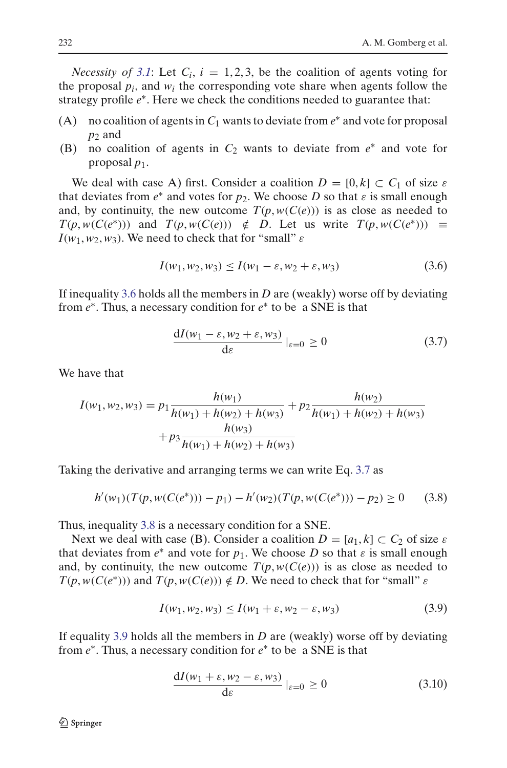*Necessity of [3.1](#page-7-2)*: Let  $C_i$ ,  $i = 1, 2, 3$ , be the coalition of agents voting for the proposal  $p_i$ , and  $w_i$  the corresponding vote share when agents follow the strategy profile  $e^*$ . Here we check the conditions needed to guarantee that:

- (A) no coalition of agents in  $C_1$  wants to deviate from  $e^*$  and vote for proposal *p*<sup>2</sup> and
- (B) no coalition of agents in *C*<sup>2</sup> wants to deviate from *e*<sup>∗</sup> and vote for proposal *p*1.

We deal with case A) first. Consider a coalition  $D = [0, k] \subset C_1$  of size  $\varepsilon$ that deviates from  $e^*$  and votes for  $p_2$ . We choose *D* so that  $\varepsilon$  is small enough and, by continuity, the new outcome  $T(p, w(C(e)))$  is as close as needed to  $T(p, w(C(e^*)))$  and  $T(p, w(C(e))) \notin D$ . Let us write  $T(p, w(C(e^*))) \equiv$  $I(w_1, w_2, w_3)$ . We need to check that for "small"  $\varepsilon$ 

$$
I(w_1, w_2, w_3) \le I(w_1 - \varepsilon, w_2 + \varepsilon, w_3)
$$
\n
$$
(3.6)
$$

<span id="page-9-0"></span>If inequality [3.6](#page-9-0) holds all the members in *D* are (weakly) worse off by deviating from *e*∗. Thus, a necessary condition for *e*<sup>∗</sup> to be a SNE is that

$$
\frac{dI(w_1 - \varepsilon, w_2 + \varepsilon, w_3)}{d\varepsilon}|_{\varepsilon = 0} \ge 0
$$
\n(3.7)

<span id="page-9-1"></span>We have that

$$
I(w_1, w_2, w_3) = p_1 \frac{h(w_1)}{h(w_1) + h(w_2) + h(w_3)} + p_2 \frac{h(w_2)}{h(w_1) + h(w_2) + h(w_3)} + p_3 \frac{h(w_3)}{h(w_1) + h(w_2) + h(w_3)}
$$

<span id="page-9-2"></span>Taking the derivative and arranging terms we can write Eq. [3.7](#page-9-1) as

$$
h'(w_1)(T(p, w(C(e^*))) - p_1) - h'(w_2)(T(p, w(C(e^*))) - p_2) \ge 0 \qquad (3.8)
$$

Thus, inequality [3.8](#page-9-2) is a necessary condition for a SNE.

Next we deal with case (B). Consider a coalition  $D = [a_1, k] \subset C_2$  of size  $\varepsilon$ that deviates from  $e^*$  and vote for  $p_1$ . We choose D so that  $\varepsilon$  is small enough and, by continuity, the new outcome  $T(p, w(C(e)))$  is as close as needed to  $T(p, w(C(e^*)))$  and  $T(p, w(C(e))) \notin D$ . We need to check that for "small"  $\varepsilon$ 

$$
I(w_1, w_2, w_3) \le I(w_1 + \varepsilon, w_2 - \varepsilon, w_3)
$$
\n
$$
(3.9)
$$

<span id="page-9-4"></span><span id="page-9-3"></span>If equality [3.9](#page-9-3) holds all the members in *D* are (weakly) worse off by deviating from *e*∗. Thus, a necessary condition for *e*<sup>∗</sup> to be a SNE is that

$$
\frac{dI(w_1 + \varepsilon, w_2 - \varepsilon, w_3)}{d\varepsilon}|_{\varepsilon = 0} \ge 0
$$
\n(3.10)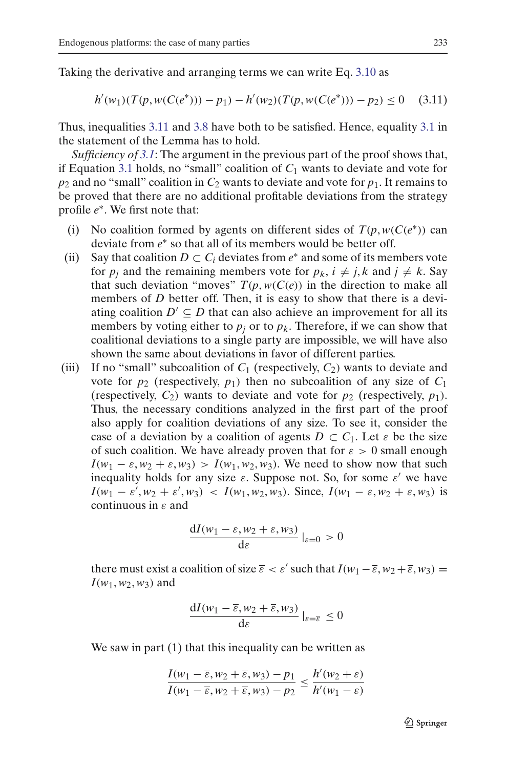<span id="page-10-0"></span>Taking the derivative and arranging terms we can write Eq. [3.10](#page-9-4) as

$$
h'(w_1)(T(p, w(C(e^*))) - p_1) - h'(w_2)(T(p, w(C(e^*))) - p_2) \le 0 \quad (3.11)
$$

Thus, inequalities [3.11](#page-10-0) and [3.8](#page-9-2) have both to be satisfied. Hence, equality [3.1](#page-7-2) in the statement of the Lemma has to hold.

*Sufficiency of [3.1](#page-7-2)*: The argument in the previous part of the proof shows that, if Equation [3.1](#page-7-2) holds, no "small" coalition of  $C_1$  wants to deviate and vote for  $p_2$  and no "small" coalition in  $C_2$  wants to deviate and vote for  $p_1$ . It remains to be proved that there are no additional profitable deviations from the strategy profile *e*∗. We first note that:

- (i) No coalition formed by agents on different sides of  $T(p, w(C(e^*))$  can deviate from *e*<sup>∗</sup> so that all of its members would be better off.
- (ii) Say that coalition  $D \subset C_i$  deviates from  $e^*$  and some of its members vote for  $p_i$  and the remaining members vote for  $p_k$ ,  $i \neq j$ ,  $k$  and  $j \neq k$ . Say that such deviation "moves"  $T(p, w(C(e))$  in the direction to make all members of *D* better off. Then, it is easy to show that there is a deviating coalition  $D' \subseteq D$  that can also achieve an improvement for all its members by voting either to  $p_i$  or to  $p_k$ . Therefore, if we can show that coalitional deviations to a single party are impossible, we will have also shown the same about deviations in favor of different parties.
- (iii) If no "small" subcoalition of  $C_1$  (respectively,  $C_2$ ) wants to deviate and vote for  $p_2$  (respectively,  $p_1$ ) then no subcoalition of any size of  $C_1$ (respectively,  $C_2$ ) wants to deviate and vote for  $p_2$  (respectively,  $p_1$ ). Thus, the necessary conditions analyzed in the first part of the proof also apply for coalition deviations of any size. To see it, consider the case of a deviation by a coalition of agents  $D \subset C_1$ . Let  $\varepsilon$  be the size of such coalition. We have already proven that for  $\varepsilon > 0$  small enough  $I(w_1 - \varepsilon, w_2 + \varepsilon, w_3) > I(w_1, w_2, w_3)$ . We need to show now that such inequality holds for any size  $\varepsilon$ . Suppose not. So, for some  $\varepsilon'$  we have  $I(w_1 - \varepsilon', w_2 + \varepsilon', w_3)$  <  $I(w_1, w_2, w_3)$ . Since,  $I(w_1 - \varepsilon, w_2 + \varepsilon, w_3)$  is continuous in  $\varepsilon$  and

$$
\frac{\mathrm{d}I(w_1-\varepsilon,w_2+\varepsilon,w_3)}{\mathrm{d}\varepsilon}\big|_{\varepsilon=0} > 0
$$

there must exist a coalition of size  $\bar{\varepsilon} < \varepsilon'$  such that  $I(w_1 - \bar{\varepsilon}, w_2 + \bar{\varepsilon}, w_3) =$  $I(w_1, w_2, w_3)$  and

$$
\frac{\mathrm{d}I(w_1-\overline{\varepsilon},w_2+\overline{\varepsilon},w_3)}{\mathrm{d}\varepsilon}|_{\varepsilon=\overline{\varepsilon}}\leq 0
$$

We saw in part (1) that this inequality can be written as

$$
\frac{I(w_1 - \overline{\varepsilon}, w_2 + \overline{\varepsilon}, w_3) - p_1}{I(w_1 - \overline{\varepsilon}, w_2 + \overline{\varepsilon}, w_3) - p_2} \le \frac{h'(w_2 + \varepsilon)}{h'(w_1 - \varepsilon)}
$$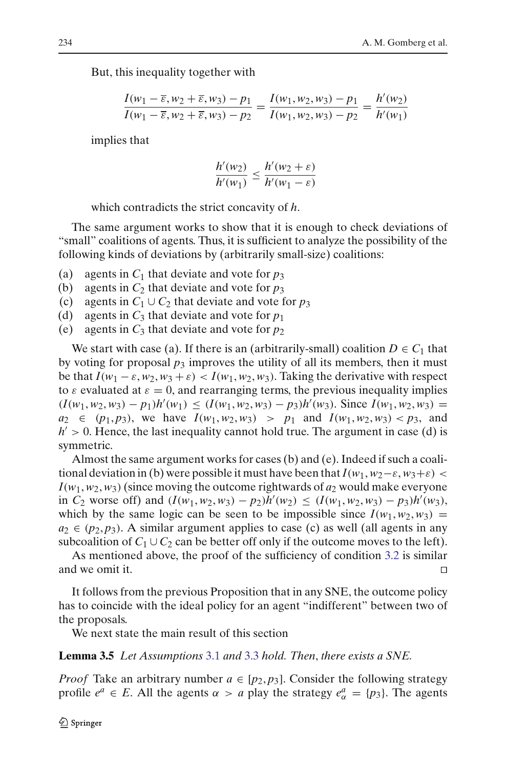But, this inequality together with

$$
\frac{I(w_1 - \overline{\varepsilon}, w_2 + \overline{\varepsilon}, w_3) - p_1}{I(w_1 - \overline{\varepsilon}, w_2 + \overline{\varepsilon}, w_3) - p_2} = \frac{I(w_1, w_2, w_3) - p_1}{I(w_1, w_2, w_3) - p_2} = \frac{h'(w_2)}{h'(w_1)}
$$

implies that

$$
\frac{h'(w_2)}{h'(w_1)} \le \frac{h'(w_2 + \varepsilon)}{h'(w_1 - \varepsilon)}
$$

which contradicts the strict concavity of *h*.

The same argument works to show that it is enough to check deviations of "small" coalitions of agents. Thus, it is sufficient to analyze the possibility of the following kinds of deviations by (arbitrarily small-size) coalitions:

- (a) agents in  $C_1$  that deviate and vote for  $p_3$
- (b) agents in  $C_2$  that deviate and vote for  $p_3$
- (c) agents in  $C_1 \cup C_2$  that deviate and vote for  $p_3$
- (d) agents in  $C_3$  that deviate and vote for  $p_1$
- (e) agents in  $C_3$  that deviate and vote for  $p_2$

We start with case (a). If there is an (arbitrarily-small) coalition  $D \in C_1$  that by voting for proposal  $p_3$  improves the utility of all its members, then it must be that  $I(w_1 - \varepsilon, w_2, w_3 + \varepsilon) < I(w_1, w_2, w_3)$ . Taking the derivative with respect to  $\varepsilon$  evaluated at  $\varepsilon = 0$ , and rearranging terms, the previous inequality implies  $(I(w_1, w_2, w_3) - p_1)h'(w_1) \le (I(w_1, w_2, w_3) - p_3)h'(w_3)$ . Since  $I(w_1, w_2, w_3) =$  $a_2 \in (p_1, p_3)$ , we have  $I(w_1, w_2, w_3) > p_1$  and  $I(w_1, w_2, w_3) < p_3$ , and  $h' > 0$ . Hence, the last inequality cannot hold true. The argument in case (d) is symmetric.

Almost the same argument works for cases (b) and (e). Indeed if such a coalitional deviation in (b) were possible it must have been that  $I(w_1, w_2-\varepsilon, w_3+\varepsilon)$  $I(w_1, w_2, w_3)$  (since moving the outcome rightwards of  $a_2$  would make everyone in *C*<sub>2</sub> worse off) and  $(I(w_1, w_2, w_3) - p_2)h'(w_2) ≤ (I(w_1, w_2, w_3) - p_3)h'(w_3)$ , which by the same logic can be seen to be impossible since  $I(w_1, w_2, w_3) =$  $a_2 \in (p_2, p_3)$ . A similar argument applies to case (c) as well (all agents in any subcoalition of  $C_1 \cup C_2$  can be better off only if the outcome moves to the left).

As mentioned above, the proof of the sufficiency of condition [3.2](#page-7-3) is similar and we omit it.

It follows from the previous Proposition that in any SNE, the outcome policy has to coincide with the ideal policy for an agent "indifferent" between two of the proposals.

We next state the main result of this section

#### <span id="page-11-0"></span>**Lemma 3.5** *Let Assumptions* [3.1](#page-6-1) *and* [3.3](#page-6-2) *hold. Then*, *there exists a SNE.*

*Proof* Take an arbitrary number  $a \in [p_2, p_3]$ . Consider the following strategy profile  $e^a \in E$ . All the agents  $\alpha > a$  play the strategy  $e^a_{\alpha} = \{p_3\}$ . The agents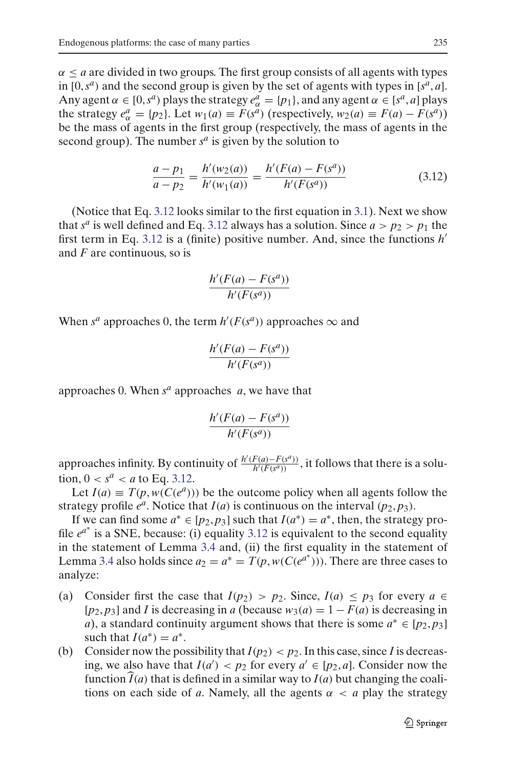$\alpha \le a$  are divided in two groups. The first group consists of all agents with types in  $[0, s^a)$  and the second group is given by the set of agents with types in  $[s^a, a]$ . Any agent  $\alpha \in [0, s^a)$  plays the strategy  $e_{\alpha}^a = \{p_1\}$ , and any agent  $\alpha \in [s^a, a]$  plays the strategy  $e_{\alpha}^{a} = \{p_2\}$ . Let  $w_1(a) \equiv F(s^a)$  (respectively,  $w_2(a) \equiv F(a) - F(s^a)$ ) be the mass of agents in the first group (respectively, the mass of agents in the second group). The number  $s^a$  is given by the solution to

$$
\frac{a - p_1}{a - p_2} = \frac{h'(w_2(a))}{h'(w_1(a))} = \frac{h'(F(a) - F(s^a))}{h'(F(s^a))}
$$
(3.12)

<span id="page-12-0"></span>(Notice that Eq. [3.12](#page-12-0) looks similar to the first equation in [3.1\)](#page-7-2). Next we show that  $s^a$  is well defined and Eq. [3.12](#page-12-0) always has a solution. Since  $a > p_2 > p_1$  the first term in Eq. [3.12](#page-12-0) is a (finite) positive number. And, since the functions *h* and *F* are continuous, so is

$$
\frac{h'(F(a) - F(s^a))}{h'(F(s^a))}
$$

When  $s^a$  approaches 0, the term  $h'(F(s^a))$  approaches  $\infty$  and

$$
\frac{h'(F(a) - F(s^a))}{h'(F(s^a))}
$$

approaches 0. When *s<sup>a</sup>* approaches *a*, we have that

$$
\frac{h'(F(a) - F(s^a))}{h'(F(s^a))}
$$

approaches infinity. By continuity of  $\frac{h'(F(a) - F(s^a))}{h'(F(s^a))}$  $\frac{f'(a)-f'(s^{n})}{h'(F(s^{a}))}$ , it follows that there is a solution,  $0 < s^a < a$  to Eq. [3.12.](#page-12-0)

Let  $I(a) \equiv T(p, w(C(e^{a})))$  be the outcome policy when all agents follow the strategy profile  $e^a$ . Notice that  $I(a)$  is continuous on the interval  $(p_2, p_3)$ .

If we can find some  $a^* \in [p_2, p_3]$  such that  $I(a^*) = a^*$ , then, the strategy profile  $e^{a^*}$  is a SNE, because: (i) equality [3.12](#page-12-0) is equivalent to the second equality in the statement of Lemma [3.4](#page-7-1) and, (ii) the first equality in the statement of Lemma [3.4](#page-7-1) also holds since  $a_2 = a^* = T(p, w(C(e^{a^*})))$ . There are three cases to analyze:

- (a) Consider first the case that  $I(p_2) > p_2$ . Since,  $I(a) \leq p_3$  for every  $a \in$  $[p_2, p_3]$  and *I* is decreasing in *a* (because  $w_3(a) = 1 - F(a)$  is decreasing in *a*), a standard continuity argument shows that there is some  $a^* \in [p_2, p_3]$ such that  $I(a^*) = a^*$ .
- (b) Consider now the possibility that  $I(p_2) < p_2$ . In this case, since *I* is decreasing, we also have that  $I(a') < p_2$  for every  $a' \in [p_2, a]$ . Consider now the function  $I(a)$  that is defined in a similar way to  $I(a)$  but changing the coalitions on each side of *a*. Namely, all the agents  $\alpha < a$  play the strategy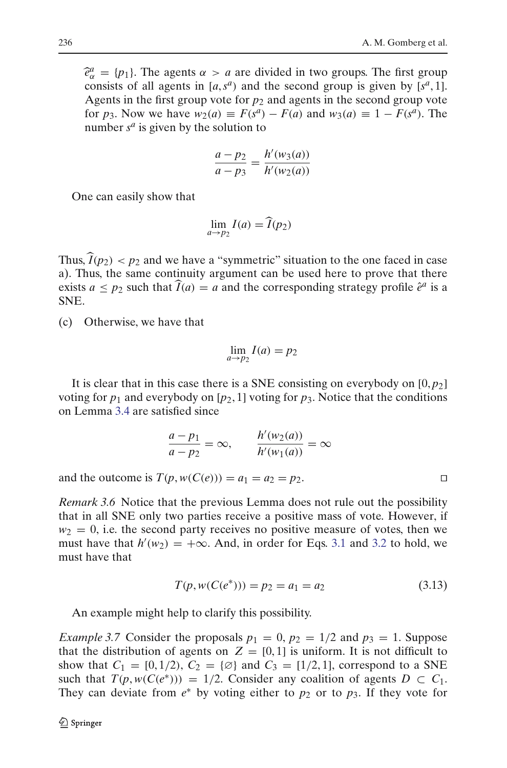$\hat{e}^a_\alpha = \{p_1\}$ . The agents  $\alpha > a$  are divided in two groups. The first group consists of all agents in  $[a, s^a]$  and the second group is given by  $[s^a, 1]$ consists of all agents in  $[a, s^a]$  and the second group is given by  $[s^a, 1]$ . Agents in the first group vote for  $p_2$  and agents in the second group vote for *p*<sub>3</sub>. Now we have  $w_2(a) \equiv F(s^a) - F(a)$  and  $w_3(a) \equiv 1 - F(s^a)$ . The number  $s^a$  is given by the solution to

$$
\frac{a - p_2}{a - p_3} = \frac{h'(w_3(a))}{h'(w_2(a))}
$$

One can easily show that

$$
\lim_{a \to p_2} I(a) = \widehat{I}(p_2)
$$

Thus,  $\widehat{I}(p_2) < p_2$  and we have a "symmetric" situation to the one faced in case a). Thus, the same continuity argument can be used here to prove that there exists  $a \leq p_2$  such that  $\widehat{I}(a) = a$  and the corresponding strategy profile  $\hat{e}^a$  is a SNE.

(c) Otherwise, we have that

$$
\lim_{a \to p_2} I(a) = p_2
$$

It is clear that in this case there is a SNE consisting on everybody on  $[0, p<sub>2</sub>]$ voting for  $p_1$  and everybody on  $[p_2, 1]$  voting for  $p_3$ . Notice that the conditions on Lemma [3.4](#page-7-1) are satisfied since

$$
\frac{a-p_1}{a-p_2} = \infty, \qquad \frac{h'(w_2(a))}{h'(w_1(a))} = \infty
$$

and the outcome is  $T(p, w(C(e))) = a_1 = a_2 = p_2$ .

*Remark 3.6* Notice that the previous Lemma does not rule out the possibility that in all SNE only two parties receive a positive mass of vote. However, if  $w_2 = 0$ , i.e. the second party receives no positive measure of votes, then we must have that  $h'(w_2) = +\infty$ . And, in order for Eqs. [3.1](#page-7-2) and [3.2](#page-7-3) to hold, we must have that

$$
T(p, w(C(e^*))) = p_2 = a_1 = a_2 \tag{3.13}
$$

An example might help to clarify this possibility.

*Example 3.7* Consider the proposals  $p_1 = 0$ ,  $p_2 = 1/2$  and  $p_3 = 1$ . Suppose that the distribution of agents on  $Z = [0, 1]$  is uniform. It is not difficult to show that  $C_1 = [0, 1/2), C_2 = \{\emptyset\}$  and  $C_3 = [1/2, 1]$ , correspond to a SNE such that  $T(p, w(C(e^*))) = 1/2$ . Consider any coalition of agents  $D \subset C_1$ . They can deviate from  $e^*$  by voting either to  $p_2$  or to  $p_3$ . If they vote for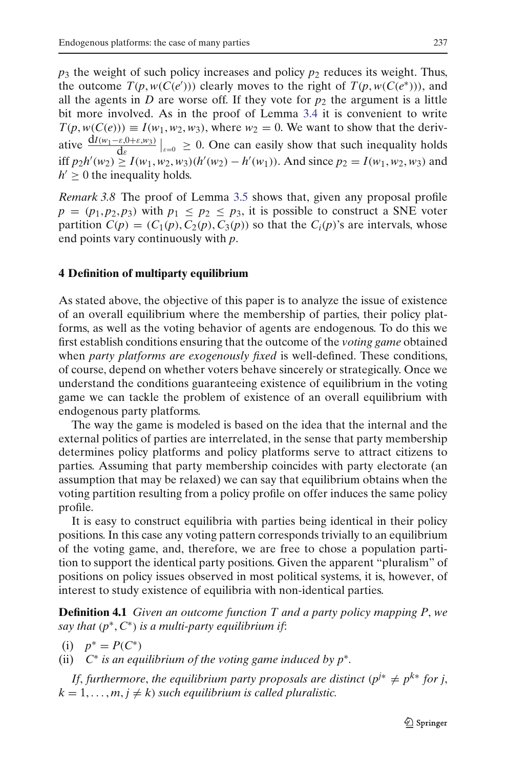$p_3$  the weight of such policy increases and policy  $p_2$  reduces its weight. Thus, the outcome  $T(p, w(C(e')))$  clearly moves to the right of  $T(p, w(C(e^*)))$ , and all the agents in *D* are worse off. If they vote for  $p_2$  the argument is a little bit more involved. As in the proof of Lemma [3.4](#page-7-1) it is convenient to write  $T(p, w(C(e))) \equiv I(w_1, w_2, w_3)$ , where  $w_2 = 0$ . We want to show that the derivative  $\frac{dI(w_1-\varepsilon,0+\varepsilon,w_3)}{d\varepsilon}\Big|_{\varepsilon=0} \ge 0$ . One can easily show that such inequality holds iff *p*<sub>2</sub>*h*'(*w*<sub>2</sub>) ≥ *I*(*w*<sub>1</sub>, *w*<sub>2</sub>, *w*<sub>3</sub>)(*h*'(*w*<sub>2</sub>) − *h*'(*w*<sub>1</sub>)). And since *p*<sub>2</sub> = *I*(*w*<sub>1</sub>, *w*<sub>2</sub>, *w*<sub>3</sub>) and  $h' \geq 0$  the inequality holds.

*Remark 3.8* The proof of Lemma [3.5](#page-11-0) shows that, given any proposal profile  $p = (p_1, p_2, p_3)$  with  $p_1 \leq p_2 \leq p_3$ , it is possible to construct a SNE voter partition  $C(p) = (C_1(p), C_2(p), C_3(p))$  so that the  $C_i(p)$ 's are intervals, whose end points vary continuously with *p*.

#### <span id="page-14-0"></span>**4 Definition of multiparty equilibrium**

As stated above, the objective of this paper is to analyze the issue of existence of an overall equilibrium where the membership of parties, their policy platforms, as well as the voting behavior of agents are endogenous. To do this we first establish conditions ensuring that the outcome of the *voting game* obtained when *party platforms are exogenously fixed* is well-defined. These conditions, of course, depend on whether voters behave sincerely or strategically. Once we understand the conditions guaranteeing existence of equilibrium in the voting game we can tackle the problem of existence of an overall equilibrium with endogenous party platforms.

The way the game is modeled is based on the idea that the internal and the external politics of parties are interrelated, in the sense that party membership determines policy platforms and policy platforms serve to attract citizens to parties. Assuming that party membership coincides with party electorate (an assumption that may be relaxed) we can say that equilibrium obtains when the voting partition resulting from a policy profile on offer induces the same policy profile.

It is easy to construct equilibria with parties being identical in their policy positions. In this case any voting pattern corresponds trivially to an equilibrium of the voting game, and, therefore, we are free to chose a population partition to support the identical party positions. Given the apparent "pluralism" of positions on policy issues observed in most political systems, it is, however, of interest to study existence of equilibria with non-identical parties.

**Definition 4.1** *Given an outcome function T and a party policy mapping P*, *we say that* (*p*∗, *C*∗) *is a multi-party equilibrium if*:

$$
(i) \quad p^* = P(C^*)
$$

(ii) *C*<sup>∗</sup> *is an equilibrium of the voting game induced by p*∗*.*

*If, furthermore, the equilibrium party proposals are distinct* ( $p^{j*} \neq p^{k*}$  *for j,*  $k = 1, \ldots, m, j \neq k$  *such equilibrium is called pluralistic.*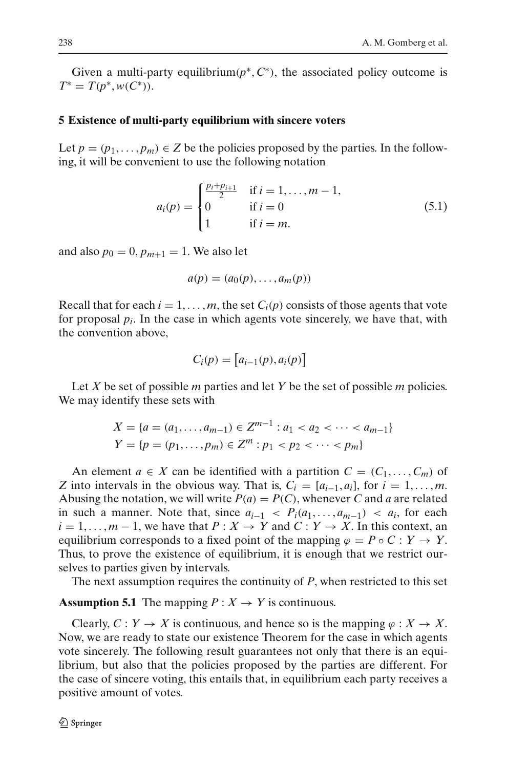Given a multi-party equilibrium( $p^*$ ,  $C^*$ ), the associated policy outcome is  $T^* = T(p^*, w(C^*)).$ 

#### <span id="page-15-0"></span>**5 Existence of multi-party equilibrium with sincere voters**

Let  $p = (p_1, \ldots, p_m) \in Z$  be the policies proposed by the parties. In the following, it will be convenient to use the following notation

$$
a_i(p) = \begin{cases} \frac{p_i + p_{i+1}}{2} & \text{if } i = 1, ..., m - 1, \\ 0 & \text{if } i = 0 \\ 1 & \text{if } i = m. \end{cases}
$$
 (5.1)

<span id="page-15-2"></span>and also  $p_0 = 0$ ,  $p_{m+1} = 1$ . We also let

$$
a(p) = (a_0(p), \ldots, a_m(p))
$$

Recall that for each  $i = 1, \ldots, m$ , the set  $C_i(p)$  consists of those agents that vote for proposal  $p_i$ . In the case in which agents vote sincerely, we have that, with the convention above,

$$
C_i(p) = [a_{i-1}(p), a_i(p)]
$$

Let *X* be set of possible *m* parties and let *Y* be the set of possible *m* policies. We may identify these sets with

$$
X = \{a = (a_1, \dots, a_{m-1}) \in \mathbb{Z}^{m-1} : a_1 < a_2 < \dots < a_{m-1}\}
$$
\n
$$
Y = \{p = (p_1, \dots, p_m) \in \mathbb{Z}^m : p_1 < p_2 < \dots < p_m\}
$$

An element  $a \in X$  can be identified with a partition  $C = (C_1, \ldots, C_m)$  of *Z* into intervals in the obvious way. That is,  $C_i = [a_{i-1}, a_i]$ , for  $i = 1, \ldots, m$ . Abusing the notation, we will write  $P(a) = P(C)$ , whenever *C* and *a* are related in such a manner. Note that, since  $a_{i-1} < P_i(a_1, \ldots, a_{m-1}) < a_i$ , for each  $i = 1, \ldots, m - 1$ , we have that  $P: X \to Y$  and  $C: Y \to X$ . In this context, an equilibrium corresponds to a fixed point of the mapping  $\varphi = P \circ C : Y \to Y$ . Thus, to prove the existence of equilibrium, it is enough that we restrict ourselves to parties given by intervals.

The next assumption requires the continuity of *P*, when restricted to this set

# <span id="page-15-1"></span>**Assumption 5.1** The mapping  $P: X \to Y$  is continuous.

<span id="page-15-3"></span>Clearly,  $C: Y \to X$  is continuous, and hence so is the mapping  $\varphi: X \to X$ . Now, we are ready to state our existence Theorem for the case in which agents vote sincerely. The following result guarantees not only that there is an equilibrium, but also that the policies proposed by the parties are different. For the case of sincere voting, this entails that, in equilibrium each party receives a positive amount of votes.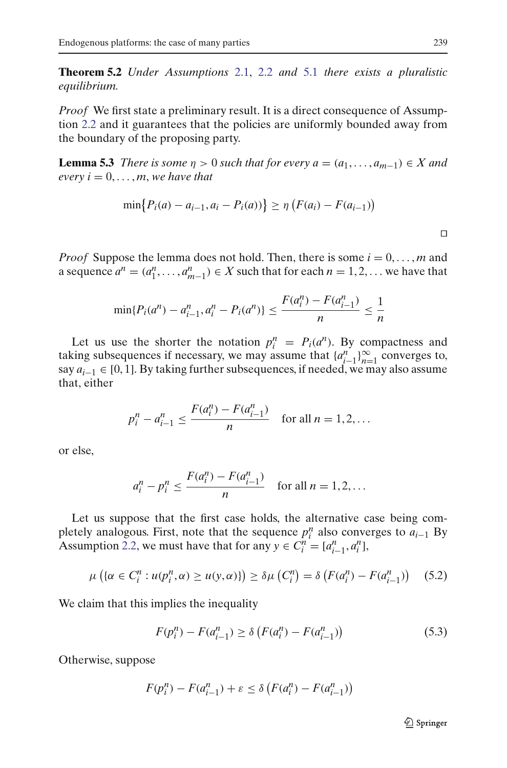**Theorem 5.2** *Under Assumptions* [2.1,](#page-3-1) [2.2](#page-3-2) *and* [5.1](#page-15-1) *there exists a pluralistic equilibrium.*

*Proof* We first state a preliminary result. It is a direct consequence of Assumption [2.2](#page-3-2) and it guarantees that the policies are uniformly bounded away from the boundary of the proposing party.

<span id="page-16-2"></span>**Lemma 5.3** *There is some*  $\eta > 0$  *such that for every*  $a = (a_1, \ldots, a_{m-1}) \in X$  *and every*  $i = 0, \ldots, m$ , *we have that* 

$$
\min\{P_i(a) - a_{i-1}, a_i - P_i(a)\}\geq \eta \left(F(a_i) - F(a_{i-1})\right)
$$

*Proof* Suppose the lemma does not hold. Then, there is some  $i = 0, \ldots, m$  and a sequence  $a^n = (a_1^n, \dots, a_{m-1}^n) \in X$  such that for each  $n = 1, 2, \dots$  we have that

$$
\min\{P_i(a^n) - a_{i-1}^n, a_i^n - P_i(a^n)\} \le \frac{F(a_i^n) - F(a_{i-1}^n)}{n} \le \frac{1}{n}
$$

Let us use the shorter the notation  $p_i^n = P_i(a^n)$ . By compactness and taking subsequences if necessary, we may assume that  $\{a_{i-1}^n\}_{n=1}^{\infty}$  converges to, say  $a_{i-1}$  ∈ [0, 1]. By taking further subsequences, if needed, we may also assume that, either

$$
p_i^n - a_{i-1}^n \le \frac{F(a_i^n) - F(a_{i-1}^n)}{n} \quad \text{for all } n = 1, 2, \dots
$$

or else,

$$
a_i^n - p_i^n \le \frac{F(a_i^n) - F(a_{i-1}^n)}{n} \quad \text{for all } n = 1, 2, \dots
$$

Let us suppose that the first case holds, the alternative case being completely analogous. First, note that the sequence  $p_i^n$  also converges to  $a_{i-1}$  By Assumption [2.2,](#page-3-2) we must have that for any  $y \in C_i^n = [a_{i-1}^n, a_i^n]$ ,

$$
\mu\left(\{\alpha \in C_i^n : u(p_i^n, \alpha) \ge u(y, \alpha)\}\right) \ge \delta \mu\left(C_i^n\right) = \delta\left(F(a_i^n) - F(a_{i-1}^n)\right) \tag{5.2}
$$

<span id="page-16-1"></span><span id="page-16-0"></span>We claim that this implies the inequality

$$
F(p_i^n) - F(a_{i-1}^n) \ge \delta \left( F(a_i^n) - F(a_{i-1}^n) \right)
$$
\n(5.3)

Otherwise, suppose

$$
F(p_i^n) - F(a_{i-1}^n) + \varepsilon \le \delta \left( F(a_i^n) - F(a_{i-1}^n) \right)
$$

 $\Box$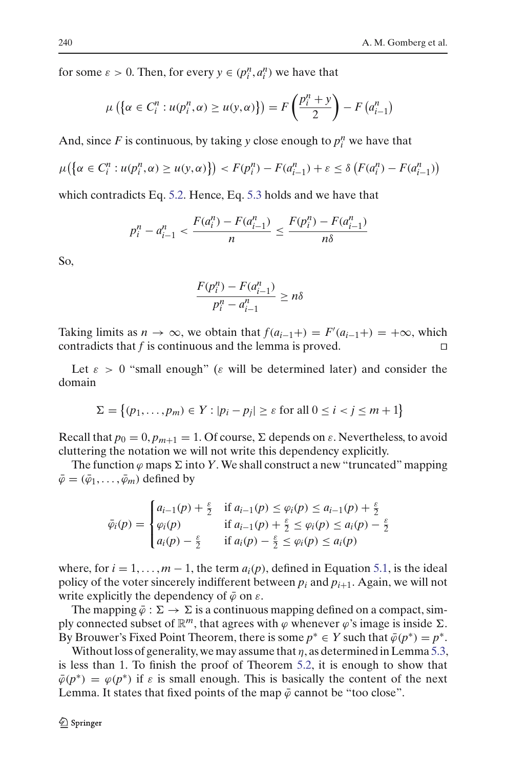for some  $\varepsilon > 0$ . Then, for every  $y \in (p_i^n, a_i^n)$  we have that

$$
\mu\left(\left\{\alpha \in C_i^n : u(p_i^n, \alpha) \ge u(y, \alpha)\right\}\right) = F\left(\frac{p_i^n + y}{2}\right) - F\left(a_{i-1}^n\right)
$$

And, since  $F$  is continuous, by taking  $y$  close enough to  $p_i^n$  we have that

$$
\mu(\{\alpha \in C_i^n : u(p_i^n, \alpha) \ge u(y, \alpha)\}) < F(p_i^n) - F(a_{i-1}^n) + \varepsilon \le \delta \left( F(a_i^n) - F(a_{i-1}^n) \right)
$$

which contradicts Eq. [5.2.](#page-16-0) Hence, Eq. [5.3](#page-16-1) holds and we have that

$$
p_i^n - a_{i-1}^n < \frac{F(a_i^n) - F(a_{i-1}^n)}{n} \le \frac{F(p_i^n) - F(a_{i-1}^n)}{n\delta}
$$

So,

$$
\frac{F(p_i^n) - F(a_{i-1}^n)}{p_i^n - a_{i-1}^n} \ge n\delta
$$

Taking limits as  $n \to \infty$ , we obtain that  $f(a_{i-1}+) = F'(a_{i-1}+) = +\infty$ , which contradicts that  $f$  is continuous and the lemma is proved.  $\Box$ 

Let  $\varepsilon > 0$  "small enough" ( $\varepsilon$  will be determined later) and consider the domain

$$
\Sigma = \{(p_1, \ldots, p_m) \in Y : |p_i - p_j| \ge \varepsilon \text{ for all } 0 \le i < j \le m + 1\}
$$

Recall that  $p_0 = 0$ ,  $p_{m+1} = 1$ . Of course,  $\Sigma$  depends on  $\varepsilon$ . Nevertheless, to avoid cluttering the notation we will not write this dependency explicitly.

The function  $\varphi$  maps  $\Sigma$  into  $Y.$  We shall construct a new "truncated" mapping  $\bar{\varphi} = (\bar{\varphi}_1, \ldots, \bar{\varphi}_m)$  defined by

$$
\bar{\varphi}_i(p) = \begin{cases}\n a_{i-1}(p) + \frac{\varepsilon}{2} & \text{if } a_{i-1}(p) \le \varphi_i(p) \le a_{i-1}(p) + \frac{\varepsilon}{2} \\
 \varphi_i(p) & \text{if } a_{i-1}(p) + \frac{\varepsilon}{2} \le \varphi_i(p) \le a_i(p) - \frac{\varepsilon}{2} \\
 a_i(p) - \frac{\varepsilon}{2} & \text{if } a_i(p) - \frac{\varepsilon}{2} \le \varphi_i(p) \le a_i(p)\n\end{cases}
$$

where, for  $i = 1, \ldots, m - 1$ , the term  $a_i(p)$ , defined in Equation [5.1,](#page-15-2) is the ideal policy of the voter sincerely indifferent between  $p_i$  and  $p_{i+1}$ . Again, we will not write explicitly the dependency of  $\bar{\varphi}$  on  $\varepsilon$ .

The mapping  $\bar{\varphi} : \Sigma \to \Sigma$  is a continuous mapping defined on a compact, simply connected subset of  $\mathbb{R}^m$ , that agrees with  $\varphi$  whenever  $\varphi$ 's image is inside  $\Sigma$ . By Brouwer's Fixed Point Theorem, there is some  $p^* \in Y$  such that  $\overline{\varphi}(p^*) = p^*$ .

Without loss of generality, we may assume that  $\eta$ , as determined in Lemma [5.3,](#page-16-2) is less than 1. To finish the proof of Theorem [5.2,](#page-15-3) it is enough to show that  $\bar{\varphi}(p^*) = \varphi(p^*)$  if  $\varepsilon$  is small enough. This is basically the content of the next Lemma. It states that fixed points of the map  $\bar{\varphi}$  cannot be "too close".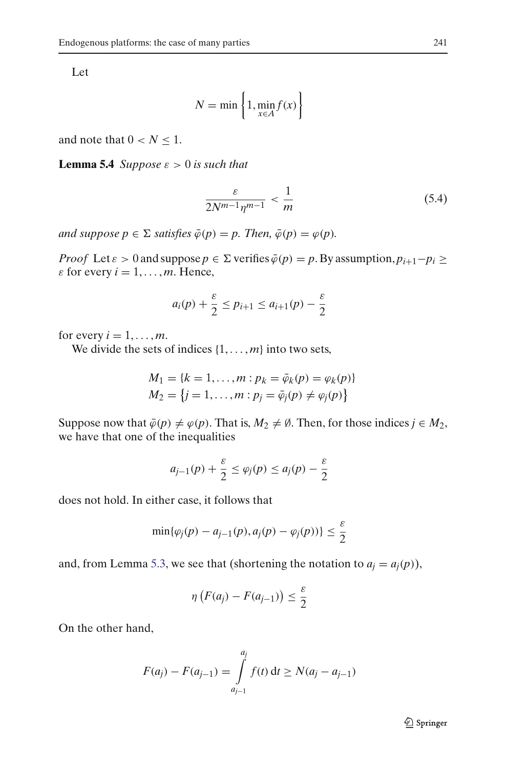Let

$$
N = \min\left\{1, \min_{x \in A} f(x)\right\}
$$

<span id="page-18-0"></span>and note that  $0 < N \leq 1$ .

**Lemma 5.4** *Suppose*  $\varepsilon > 0$  *is such that* 

$$
\frac{\varepsilon}{2N^{m-1}\eta^{m-1}} < \frac{1}{m} \tag{5.4}
$$

 $\varphi$  *and suppose*  $p \in \Sigma$  *satisfies*  $\bar{\varphi}(p) = p$ *. Then,*  $\bar{\varphi}(p) = \varphi(p)$ *.* 

*Proof* Let  $\varepsilon > 0$  and suppose  $p \in \Sigma$  verifies  $\overline{\varphi}(p) = p$ . By assumption,  $p_{i+1} - p_i \ge$  $\varepsilon$  for every  $i = 1, \ldots, m$ . Hence,

$$
a_i(p) + \frac{\varepsilon}{2} \le p_{i+1} \le a_{i+1}(p) - \frac{\varepsilon}{2}
$$

for every  $i = 1, \ldots, m$ .

We divide the sets of indices  $\{1, \ldots, m\}$  into two sets,

$$
M_1 = \{k = 1, ..., m : p_k = \bar{\varphi}_k(p) = \varphi_k(p)\}
$$
  

$$
M_2 = \{j = 1, ..., m : p_j = \bar{\varphi}_j(p) \neq \varphi_j(p)\}
$$

Suppose now that  $\bar{\varphi}(p) \neq \varphi(p)$ . That is,  $M_2 \neq \emptyset$ . Then, for those indices  $j \in M_2$ , we have that one of the inequalities

$$
a_{j-1}(p) + \frac{\varepsilon}{2} \le \varphi_j(p) \le a_j(p) - \frac{\varepsilon}{2}
$$

does not hold. In either case, it follows that

$$
\min\{\varphi_j(p)-a_{j-1}(p),a_j(p)-\varphi_j(p))\}\leq\frac{\varepsilon}{2}
$$

and, from Lemma [5.3,](#page-16-2) we see that (shortening the notation to  $a_i = a_i(p)$ ),

$$
\eta\left(F(a_j)-F(a_{j-1})\right)\leq \frac{\varepsilon}{2}
$$

On the other hand,

$$
F(a_j) - F(a_{j-1}) = \int_{a_{j-1}}^{a_j} f(t) dt \ge N(a_j - a_{j-1})
$$

 $\mathcal{Q}$  Springer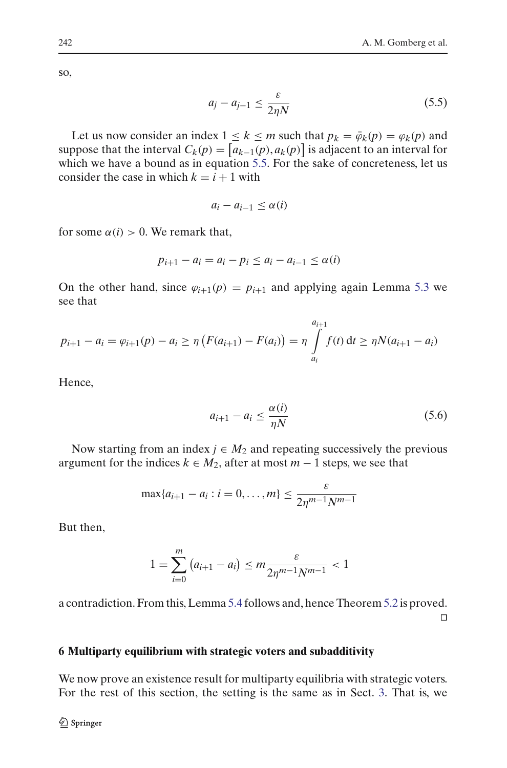<span id="page-19-1"></span>so,

$$
a_j - a_{j-1} \le \frac{\varepsilon}{2\eta N} \tag{5.5}
$$

Let us now consider an index  $1 \leq k \leq m$  such that  $p_k = \overline{\varphi}_k(p) = \varphi_k(p)$  and suppose that the interval  $C_k(p) = [a_{k-1}(p), a_k(p)]$  is adjacent to an interval for which we have a bound as in equation [5.5.](#page-19-1) For the sake of concreteness, let us consider the case in which  $k = i + 1$  with

$$
a_i - a_{i-1} \leq \alpha(i)
$$

for some  $\alpha(i) > 0$ . We remark that,

$$
p_{i+1} - a_i = a_i - p_i \le a_i - a_{i-1} \le \alpha(i)
$$

On the other hand, since  $\varphi_{i+1}(p) = p_{i+1}$  and applying again Lemma [5.3](#page-16-2) we see that

$$
p_{i+1} - a_i = \varphi_{i+1}(p) - a_i \ge \eta \left( F(a_{i+1}) - F(a_i) \right) = \eta \int_{a_i}^{a_{i+1}} f(t) dt \ge \eta N(a_{i+1} - a_i)
$$

Hence,

$$
a_{i+1} - a_i \le \frac{\alpha(i)}{\eta N} \tag{5.6}
$$

Now starting from an index  $j \in M_2$  and repeating successively the previous argument for the indices  $k \in M_2$ , after at most  $m-1$  steps, we see that

$$
\max\{a_{i+1} - a_i : i = 0, ..., m\} \le \frac{\varepsilon}{2\eta^{m-1}N^{m-1}}
$$

But then,

$$
1 = \sum_{i=0}^{m} (a_{i+1} - a_i) \le m \frac{\varepsilon}{2\eta^{m-1} N^{m-1}} < 1
$$

a contradiction. From this, Lemma [5.4](#page-18-0) follows and, hence Theorem [5.2](#page-15-3) is proved.  $\Box$ 

## <span id="page-19-0"></span>**6 Multiparty equilibrium with strategic voters and subadditivity**

We now prove an existence result for multiparty equilibria with strategic voters. For the rest of this section, the setting is the same as in Sect. [3.](#page-5-0) That is, we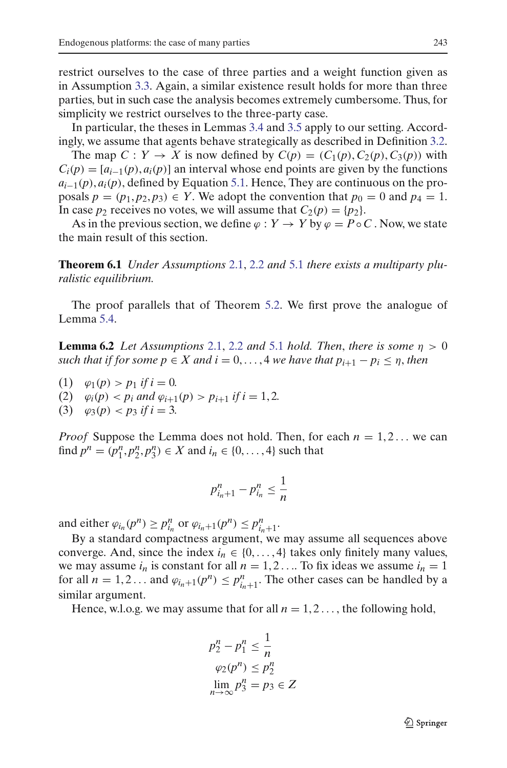restrict ourselves to the case of three parties and a weight function given as in Assumption [3.3.](#page-6-2) Again, a similar existence result holds for more than three parties, but in such case the analysis becomes extremely cumbersome. Thus, for simplicity we restrict ourselves to the three-party case.

In particular, the theses in Lemmas [3.4](#page-7-1) and [3.5](#page-11-0) apply to our setting. Accordingly, we assume that agents behave strategically as described in Definition [3.2.](#page-6-3)

The map  $C: Y \rightarrow X$  is now defined by  $C(p) = (C_1(p), C_2(p), C_3(p))$  with  $C_i(p) = [a_{i-1}(p), a_i(p)]$  an interval whose end points are given by the functions  $a_{i-1}(p)$ ,  $a_i(p)$ , defined by Equation [5.1.](#page-15-2) Hence, They are continuous on the proposals  $p = (p_1, p_2, p_3) \in Y$ . We adopt the convention that  $p_0 = 0$  and  $p_4 = 1$ . In case  $p_2$  receives no votes, we will assume that  $C_2(p) = \{p_2\}.$ 

As in the previous section, we define  $\varphi : Y \to Y$  by  $\varphi = P \circ C$ . Now, we state the main result of this section.

**Theorem 6.1** *Under Assumptions* [2.1,](#page-3-1) [2.2](#page-3-2) *and* [5.1](#page-15-1) *there exists a multiparty pluralistic equilibrium.*

<span id="page-20-0"></span>The proof parallels that of Theorem [5.2.](#page-15-3) We first prove the analogue of Lemma [5.4.](#page-18-0)

**Lemma 6.2** *Let Assumptions* [2.1,](#page-3-1) [2.2](#page-3-2) *and* [5.1](#page-15-1) *hold. Then, there is some*  $\eta > 0$ *such that if for some*  $p \in X$  *and*  $i = 0, \ldots, 4$  *we have that*  $p_{i+1} - p_i \leq \eta$ *, then* 

(1)  $\varphi_1(p) > p_1$  *if i* = 0*.* 

(2)  $\varphi_i(p) < p_i$  and  $\varphi_{i+1}(p) > p_{i+1}$  if  $i = 1, 2$ .

(3)  $\varphi_3(p) < p_3$  *if i* = 3*.* 

*Proof* Suppose the Lemma does not hold. Then, for each  $n = 1, 2, \ldots$  we can find  $p^n = (p_1^n, p_2^n, p_3^n) \in X$  and  $i_n \in \{0, ..., 4\}$  such that

$$
p_{i_n+1}^n - p_{i_n}^n \le \frac{1}{n}
$$

and either  $\varphi_{i_n}(p^n) \ge p_{i_n}^n$  or  $\varphi_{i_n+1}(p^n) \le p_{i_n+1}^n$ .

By a standard compactness argument, we may assume all sequences above converge. And, since the index  $i_n \in \{0, \ldots, 4\}$  takes only finitely many values, we may assume  $i_n$  is constant for all  $n = 1, 2, \ldots$  To fix ideas we assume  $i_n = 1$ for all  $n = 1, 2...$  and  $\varphi_{i_n+1}(p^n) \leq p_{i_n+1}^n$ . The other cases can be handled by a similar argument.

Hence, w.l.o.g. we may assume that for all  $n = 1, 2, \ldots$ , the following hold,

$$
p_2^n - p_1^n \le \frac{1}{n}
$$
  
\n
$$
\varphi_2(p^n) \le p_2^n
$$
  
\n
$$
\lim_{n \to \infty} p_3^n = p_3 \in Z
$$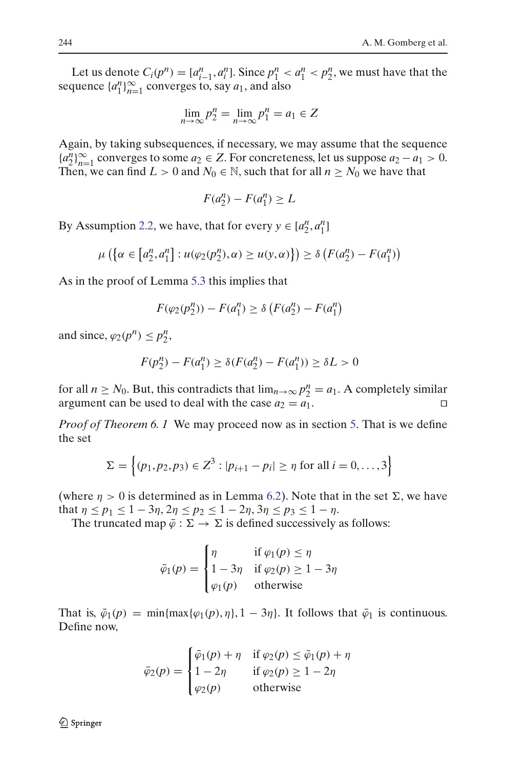Let us denote  $C_i(p^n) = [a_{i-1}^n, a_i^n]$ . Since  $p_1^n < a_1^n < p_2^n$ , we must have that the sequence  $\{a_1^n\}_{n=1}^{\infty}$  converges to, say  $a_1$ , and also

$$
\lim_{n \to \infty} p_2^n = \lim_{n \to \infty} p_1^n = a_1 \in Z
$$

Again, by taking subsequences, if necessary, we may assume that the sequence  ${a_2^n}_{n=1}^\infty$  converges to some  $a_2 \in Z$ . For concreteness, let us suppose  $a_2 - a_1 > 0$ . Then, we can find  $L > 0$  and  $N_0 \in \mathbb{N}$ , such that for all  $n \ge N_0$  we have that

$$
F(a_2^n) - F(a_1^n) \ge L
$$

By Assumption [2.2,](#page-3-2) we have, that for every  $y \in [a_2^n, a_1^n]$ 

$$
\mu\left(\left\{\alpha\in\left[a_2^n,a_1^n\right]:u(\varphi_2(p_2^n),\alpha)\geq u(y,\alpha)\right\}\right)\geq \delta\left(F(a_2^n)-F(a_1^n)\right)
$$

As in the proof of Lemma [5.3](#page-16-2) this implies that

$$
F(\varphi_2(p_2^n)) - F(a_1^n) \ge \delta \left( F(a_2^n) - F(a_1^n) \right)
$$

and since,  $\varphi_2(p^n) \leq p_2^n$ ,

$$
F(p_2^n) - F(a_1^n) \ge \delta(F(a_2^n) - F(a_1^n)) \ge \delta L > 0
$$

for all *n* ≥ *N*<sub>0</sub>. But, this contradicts that  $\lim_{n\to\infty} p_2^n = a_1$ . A completely similar argument can be used to deal with the case  $a_2 = a_1$ .

*Proof of Theorem 6. 1* We may proceed now as in section [5.](#page-15-0) That is we define the set

$$
\Sigma = \left\{ (p_1, p_2, p_3) \in Z^3 : |p_{i+1} - p_i| \ge \eta \text{ for all } i = 0, ..., 3 \right\}
$$

(where  $\eta > 0$  is determined as in Lemma [6.2\)](#page-20-0). Note that in the set  $\Sigma$ , we have that  $\eta \le p_1 \le 1 - 3\eta$ ,  $2\eta \le p_2 \le 1 - 2\eta$ ,  $3\eta \le p_3 \le 1 - \eta$ .

The truncated map  $\bar{\varphi} : \Sigma \to \Sigma$  is defined successively as follows:

$$
\bar{\varphi}_1(p) = \begin{cases} \eta & \text{if } \varphi_1(p) \le \eta \\ 1 - 3\eta & \text{if } \varphi_2(p) \ge 1 - 3\eta \\ \varphi_1(p) & \text{otherwise} \end{cases}
$$

That is,  $\bar{\varphi}_1(p) = \min\{\max\{\varphi_1(p), \eta\}, 1 - 3\eta\}$ . It follows that  $\bar{\varphi}_1$  is continuous. Define now,

$$
\bar{\varphi}_2(p) = \begin{cases}\n\bar{\varphi}_1(p) + \eta & \text{if } \varphi_2(p) \le \bar{\varphi}_1(p) + \eta \\
1 - 2\eta & \text{if } \varphi_2(p) \ge 1 - 2\eta \\
\varphi_2(p) & \text{otherwise}\n\end{cases}
$$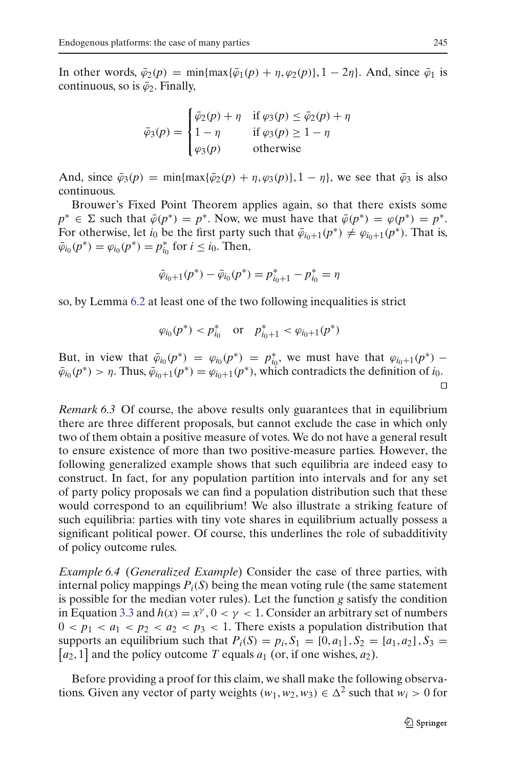In other words,  $\bar{\varphi}_2(p) = \min\{\max\{\bar{\varphi}_1(p) + \eta, \varphi_2(p)\}, 1 - 2\eta\}$ . And, since  $\bar{\varphi}_1$  is continuous, so is  $\bar{\varphi}_2$ . Finally,

$$
\bar{\varphi}_3(p) = \begin{cases} \bar{\varphi}_2(p) + \eta & \text{if } \varphi_3(p) \le \bar{\varphi}_2(p) + \eta \\ 1 - \eta & \text{if } \varphi_3(p) \ge 1 - \eta \\ \varphi_3(p) & \text{otherwise} \end{cases}
$$

And, since  $\bar{\varphi}_3(p) = \min\{\max\{\bar{\varphi}_2(p) + \eta, \varphi_3(p)\}, 1 - \eta\}$ , we see that  $\bar{\varphi}_3$  is also continuous.

Brouwer's Fixed Point Theorem applies again, so that there exists some  $p^* \in \Sigma$  such that  $\bar{\varphi}(p^*) = p^*$ . Now, we must have that  $\bar{\varphi}(p^*) = \varphi(p^*) = p^*$ . For otherwise, let *i*<sub>0</sub> be the first party such that  $\bar{\varphi}_{i_0+1}(p^*) \neq \varphi_{i_0+1}(p^*)$ . That is,  $\bar{\varphi}_{i_0}(p^*) = \varphi_{i_0}(p^*) = p_{i_0}^*$  for  $i \leq i_0$ . Then,

$$
\bar{\varphi}_{i_0+1}(p^*) - \bar{\varphi}_{i_0}(p^*) = p^*_{i_0+1} - p^*_{i_0} = \eta
$$

so, by Lemma [6.2](#page-20-0) at least one of the two following inequalities is strict

$$
\varphi_{i_0}(p^*) < p_{i_0}^*
$$
 or  $p_{i_0+1}^* < \varphi_{i_0+1}(p^*)$ 

But, in view that  $\bar{\varphi}_{i_0}(p^*) = \varphi_{i_0}(p^*) = p^*_{i_0}$ , we must have that  $\varphi_{i_0+1}(p^*)$  –  $\bar{\varphi}_{i_0}(p^*) > \eta$ . Thus,  $\bar{\varphi}_{i_0+1}(p^*) = \varphi_{i_0+1}(p^*)$ , which contradicts the definition of  $i_0$ .  $\Box$ 

*Remark 6.3* Of course, the above results only guarantees that in equilibrium there are three different proposals, but cannot exclude the case in which only two of them obtain a positive measure of votes. We do not have a general result to ensure existence of more than two positive-measure parties. However, the following generalized example shows that such equilibria are indeed easy to construct. In fact, for any population partition into intervals and for any set of party policy proposals we can find a population distribution such that these would correspond to an equilibrium! We also illustrate a striking feature of such equilibria: parties with tiny vote shares in equilibrium actually possess a significant political power. Of course, this underlines the role of subadditivity of policy outcome rules.

*Example 6.4* (*Generalized Example*) Consider the case of three parties, with internal policy mappings  $P_i(S)$  being the mean voting rule (the same statement is possible for the median voter rules). Let the function *g* satisfy the condition in Equation [3.3](#page-6-2) and  $h(x) = x^{\gamma}$ ,  $0 < \gamma < 1$ . Consider an arbitrary set of numbers  $0 < p_1 < a_1 < p_2 < a_2 < p_3 < 1$ . There exists a population distribution that supports an equilibrium such that  $P_i(S) = p_i$ ,  $S_1 = [0, a_1]$ ,  $S_2 = [a_1, a_2]$ ,  $S_3 =$  $[a_2, 1]$  and the policy outcome *T* equals  $a_1$  (or, if one wishes,  $a_2$ ).

Before providing a proof for this claim, we shall make the following observations. Given any vector of party weights  $(w_1, w_2, w_3) \in \Delta^2$  such that  $w_i > 0$  for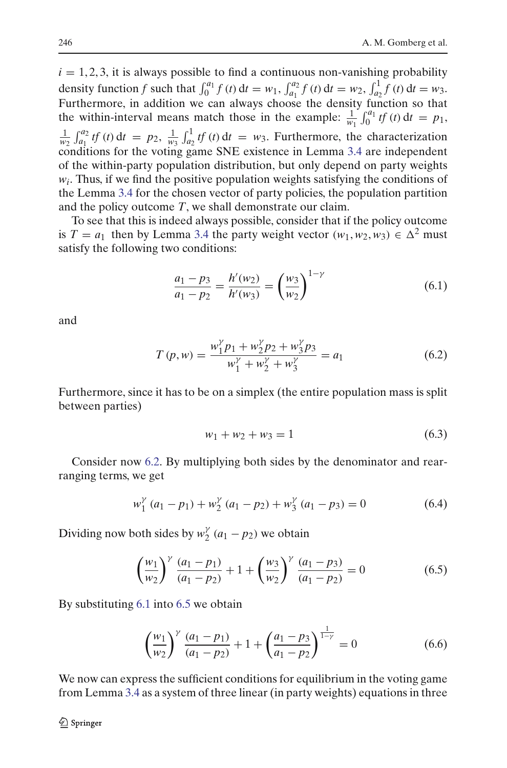$i = 1, 2, 3$ , it is always possible to find a continuous non-vanishing probability density function *f* such that  $\int_0^{a_1} f(t) dt = w_1, \int_{a_1}^{a_2} f(t) dt = w_2, \int_{a_2}^1 f(t) dt = w_3.$ Furthermore, in addition we can always choose the density function so that the within-interval means match those in the example:  $\frac{1}{w_1} \int_0^{a_1} tf(t) dt = p_1$ ,  $\frac{1}{w_2} \int_{a_1}^{a_2} tf(t) dt = p_2$ ,  $\frac{1}{w_3} \int_{a_2}^{1} tf(t) dt = w_3$ . Furthermore, the characterization conditions for the voting game SNE existence in Lemma [3.4](#page-7-1) are independent of the within-party population distribution, but only depend on party weights  $w_i$ . Thus, if we find the positive population weights satisfying the conditions of the Lemma [3.4](#page-7-1) for the chosen vector of party policies, the population partition and the policy outcome *T*, we shall demonstrate our claim.

To see that this is indeed always possible, consider that if the policy outcome is *T* =  $a_1$  then by Lemma [3.4](#page-7-1) the party weight vector  $(w_1, w_2, w_3) \in \Delta^2$  must satisfy the following two conditions:

$$
\frac{a_1 - p_3}{a_1 - p_2} = \frac{h'(w_2)}{h'(w_3)} = \left(\frac{w_3}{w_2}\right)^{1 - \gamma}
$$
(6.1)

<span id="page-23-1"></span><span id="page-23-0"></span>and

$$
T(p, w) = \frac{w_1^{\gamma} p_1 + w_2^{\gamma} p_2 + w_3^{\gamma} p_3}{w_1^{\gamma} + w_2^{\gamma} + w_3^{\gamma}} = a_1
$$
 (6.2)

Furthermore, since it has to be on a simplex (the entire population mass is split between parties)

$$
w_1 + w_2 + w_3 = 1 \tag{6.3}
$$

Consider now [6.2.](#page-23-0) By multiplying both sides by the denominator and rearranging terms, we get

$$
w_1^{\gamma} (a_1 - p_1) + w_2^{\gamma} (a_1 - p_2) + w_3^{\gamma} (a_1 - p_3) = 0 \tag{6.4}
$$

Dividing now both sides by  $w_2^{\gamma}$  (*a*<sub>1</sub> − *p*<sub>2</sub>) we obtain

$$
\left(\frac{w_1}{w_2}\right)^{\gamma} \frac{(a_1 - p_1)}{(a_1 - p_2)} + 1 + \left(\frac{w_3}{w_2}\right)^{\gamma} \frac{(a_1 - p_3)}{(a_1 - p_2)} = 0 \tag{6.5}
$$

<span id="page-23-2"></span>By substituting [6.1](#page-23-1) into [6.5](#page-23-2) we obtain

$$
\left(\frac{w_1}{w_2}\right)^{\gamma} \frac{(a_1 - p_1)}{(a_1 - p_2)} + 1 + \left(\frac{a_1 - p_3}{a_1 - p_2}\right)^{\frac{1}{1 - \gamma}} = 0 \tag{6.6}
$$

We now can express the sufficient conditions for equilibrium in the voting game from Lemma [3.4](#page-7-1) as a system of three linear (in party weights) equations in three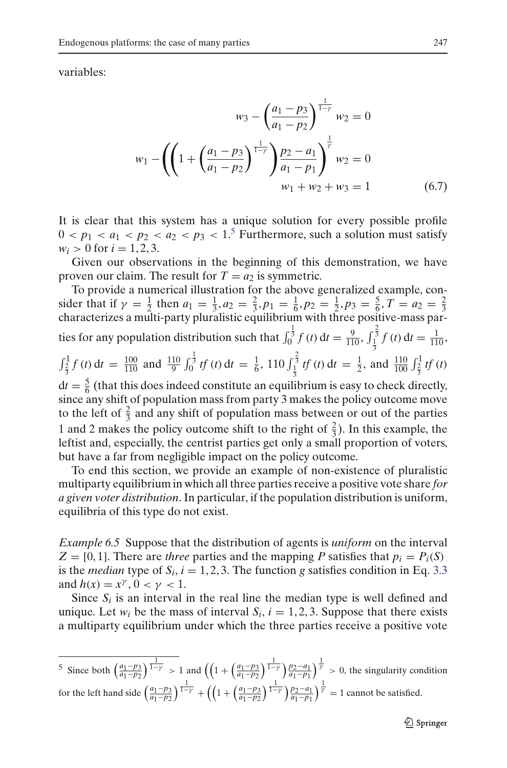variables:

$$
w_3 - \left(\frac{a_1 - p_3}{a_1 - p_2}\right)^{\frac{1}{1 - \gamma}} w_2 = 0
$$
  

$$
w_1 - \left(\left(1 + \left(\frac{a_1 - p_3}{a_1 - p_2}\right)^{\frac{1}{1 - \gamma}}\right) \frac{p_2 - a_1}{a_1 - p_1}\right)^{\frac{1}{\gamma}} w_2 = 0
$$
  

$$
w_1 + w_2 + w_3 = 1 \tag{6.7}
$$

It is clear that this system has a unique solution for every possible profile  $0 < p_1 < a_1 < p_2 < a_2 < p_3 < 1$ <sup>[5](#page-24-0)</sup> Furthermore, such a solution must satisfy  $w_i > 0$  for  $i = 1, 2, 3$ .

Given our observations in the beginning of this demonstration, we have proven our claim. The result for  $T = a_2$  is symmetric.

To provide a numerical illustration for the above generalized example, consider that if  $\gamma = \frac{1}{2}$  then  $a_1 = \frac{1}{3}, a_2 = \frac{2}{3}, p_1 = \frac{1}{6}, p_2 = \frac{1}{2}, p_3 = \frac{5}{6}, T = a_2 = \frac{2}{3}$ <br>characterizes a multi-party pluralistic equilibrium with three positive-mass parties for any population distribution such that  $\int_0^{\frac{1}{3}} f(t) dt = \frac{9}{110}, \int_{\frac{1}{3}}^{\frac{2}{3}} f(t) dt = \frac{1}{110}$ , 3  $\int_{\frac{2}{3}}^{1} f(t) dt = \frac{100}{110}$  and  $\frac{110}{9} \int_{0}^{\frac{1}{3}} tf(t) dt = \frac{1}{6}$ , 110  $\int_{\frac{1}{3}}^{\frac{2}{3}} tf(t) dt = \frac{1}{2}$ , and  $\frac{110}{100} \int_{\frac{2}{3}}^{1} tf(t)$  $dt = \frac{5}{6}$  (that this does indeed constitute an equilibrium is easy to check directly, since any shift of population mass from party 3 makes the policy outcome move to the left of  $\frac{2}{3}$  and any shift of population mass between or out of the parties 1 and 2 makes the policy outcome shift to the right of  $\frac{2}{3}$ ). In this example, the

but have a far from negligible impact on the policy outcome. To end this section, we provide an example of non-existence of pluralistic multiparty equilibrium in which all three parties receive a positive vote share *for a given voter distribution*. In particular, if the population distribution is uniform, equilibria of this type do not exist.

leftist and, especially, the centrist parties get only a small proportion of voters,

*Example 6.5* Suppose that the distribution of agents is *uniform* on the interval  $Z = [0, 1]$ . There are *three* parties and the mapping *P* satisfies that  $p_i = P_i(S)$ is the *median* type of  $S_i$ ,  $i = 1, 2, 3$ . The function *g* satisfies condition in Eq. [3.3](#page-6-2) and  $h(x) = x^{\gamma}, 0 < \gamma < 1$ .

Since  $S_i$  is an interval in the real line the median type is well defined and unique. Let  $w_i$  be the mass of interval  $S_i$ ,  $i = 1, 2, 3$ . Suppose that there exists a multiparty equilibrium under which the three parties receive a positive vote

$$
\frac{5}{2} \text{ Since both } \left(\frac{a_1 - p_3}{a_1 - p_2}\right)^{\frac{1}{1 - \gamma}} > 1 \text{ and } \left(\left(1 + \left(\frac{a_1 - p_3}{a_1 - p_2}\right)^{\frac{1}{1 - \gamma}}\right)^{\frac{p_2 - a_1}{a_1 - p_1}}\right)^{\frac{1}{\gamma}} > 0 \text{, the singularity condition}
$$

<span id="page-24-0"></span>for the left hand side  $\left(\frac{a_1 - p_3}{a_1 - p_2}\right)^{\frac{1}{1 - \gamma}} + \left(\left(1 + \left(\frac{a_1 - p_3}{a_1 - p_2}\right)^{\frac{1}{1 - \gamma}}\right)\frac{p_2 - a_1}{a_1 - p_1}\right)^{\frac{1}{\gamma}} = 1$  cannot be satisfied.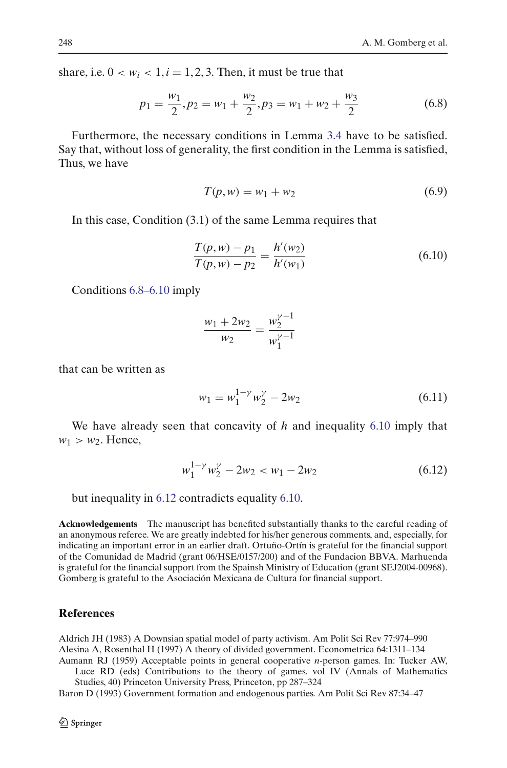<span id="page-25-4"></span>share, i.e.  $0 < w_i < 1, i = 1, 2, 3$ . Then, it must be true that

$$
p_1 = \frac{w_1}{2}, p_2 = w_1 + \frac{w_2}{2}, p_3 = w_1 + w_2 + \frac{w_3}{2}
$$
 (6.8)

Furthermore, the necessary conditions in Lemma [3.4](#page-7-1) have to be satisfied. Say that, without loss of generality, the first condition in the Lemma is satisfied, Thus, we have

$$
T(p, w) = w_1 + w_2 \tag{6.9}
$$

<span id="page-25-5"></span>In this case, Condition (3.1) of the same Lemma requires that

$$
\frac{T(p, w) - p_1}{T(p, w) - p_2} = \frac{h'(w_2)}{h'(w_1)}\tag{6.10}
$$

Conditions [6.8–](#page-25-4)[6.10](#page-25-5) imply

$$
\frac{w_1 + 2w_2}{w_2} = \frac{w_2^{\gamma - 1}}{w_1^{\gamma - 1}}
$$

that can be written as

$$
w_1 = w_1^{1-\gamma} w_2^{\gamma} - 2w_2 \tag{6.11}
$$

We have already seen that concavity of *h* and inequality [6.10](#page-25-5) imply that  $w_1 > w_2$ . Hence,

$$
w_1^{1-\gamma} w_2^{\gamma} - 2w_2 < w_1 - 2w_2 \tag{6.12}
$$

<span id="page-25-6"></span>but inequality in [6.12](#page-25-6) contradicts equality [6.10.](#page-25-5)

**Acknowledgements** The manuscript has benefited substantially thanks to the careful reading of an anonymous referee. We are greatly indebted for his/her generous comments, and, especially, for indicating an important error in an earlier draft. Ortuño-Ortín is grateful for the financial support of the Comunidad de Madrid (grant 06/HSE/0157/200) and of the Fundacion BBVA. Marhuenda is grateful for the financial support from the Spainsh Ministry of Education (grant SEJ2004-00968). Gomberg is grateful to the Asociación Mexicana de Cultura for financial support.

#### **References**

<span id="page-25-3"></span><span id="page-25-2"></span><span id="page-25-1"></span>Aldrich JH (1983) A Downsian spatial model of party activism. Am Polit Sci Rev 77:974–990 Alesina A, Rosenthal H (1997) A theory of divided government. Econometrica 64:1311–134 Aumann RJ (1959) Acceptable points in general cooperative *n*-person games. In: Tucker AW,

Luce RD (eds) Contributions to the theory of games. vol IV (Annals of Mathematics Studies, 40) Princeton University Press, Princeton, pp 287–324

<span id="page-25-0"></span>Baron D (1993) Government formation and endogenous parties. Am Polit Sci Rev 87:34–47